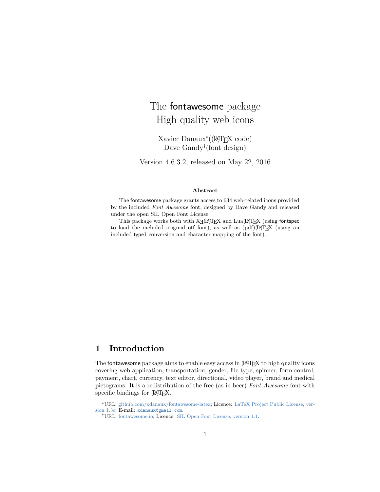# <span id="page-0-0"></span>The fontawesome package High quality web icons

Xavier Danaux<sup>∗</sup> ((LA)TEX code) Dave Gandy† (font design)

Version 4.6.3.2, released on May 22, 2016

#### **Abstract**

The fontawesome package grants access to 634 web-related icons provided by the included *Font Awesome* font, designed by Dave Gandy and released under the open SIL Open Font License.

This package works both with  $X\mathcal{A}(\mathbb{A})T\mathcal{F}X$  and  $\text{Lua}(\mathbb{A})T\mathcal{F}X$  (using fontspec to load the included original otf font), as well as  $\left(\text{pdf}\right)(\text{LATEX})$  (using an included type1 conversion and character mapping of the font).

#### **1 Introduction**

The fontawesome package aims to enable easy access in  $[**A**$  $E<sub>X</sub>$  to high quality icons covering web application, transportation, gender, file type, spinner, form control, payment, chart, currency, text editor, directional, video player, brand and medical pictograms. It is a redistribution of the free (as in beer) *Font Awesome* font with specific bindings for (LA)T<sub>E</sub>X.

<sup>∗</sup>URL: [github.com/xdanaux/fontawesome-latex;](https://github.com/xdanaux/fontawesome-latex) Licence: [LaTeX Project Public License, ver](http://latex-project.org/lppl/lppl-1-3c.txt)[sion 1.3c;](http://latex-project.org/lppl/lppl-1-3c.txt) E-mail: [xdanaux@gmail.com](mailto:xdanaux@gmail.com).

<sup>†</sup>URL: [fontawesome.io;](http://fontawesome.io) Licence: [SIL Open Font License, version 1.1.](http://scripts.sil.org/cms/scripts/render_download.php?format=file&media_id=OFL_plaintext&filename=OFL11.txt)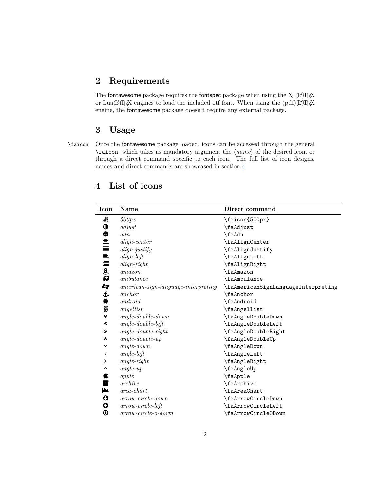#### **2 Requirements**

The fontawesome package requires the fontspec package when using the Xq(LA)TEX or Lua(LA)T<sub>E</sub>X engines to load the included otf font. When using the (pdf)(LA)T<sub>E</sub>X engine, the fontawesome package doesn't require any external package.

#### **3 Usage**

 $\overline{\phantom{a}}$ 

\faicon Once the fontawesome package loaded, icons can be accessed through the general \faicon, which takes as mandatory argument the  $\langle name \rangle$  of the desired icon, or through a direct command specific to each icon. The full list of icon designs, names and direct commands are showcased in section [4.](#page-1-0)

| Icon                  | <b>Name</b>                                  | Direct command                      |
|-----------------------|----------------------------------------------|-------------------------------------|
| 5                     | 500px                                        | \faicon{500px}                      |
| $\bullet$             | adjust                                       | \faAdjust                           |
| ♦                     | adn                                          | \faAdn                              |
| 호                     | $align-center$                               | \faAlignCenter                      |
| ≣                     | $align\text{-}jusify$                        | \faAlignJustify                     |
| $m = \frac{1}{3}$     | $align-left$                                 | \faAlignLeft                        |
|                       | $align-right$                                | \faAlignRight                       |
|                       | $a$ mazon                                    | \faAmazon                           |
| 41                    | ambulance                                    | \faAmbulance                        |
| kg                    | $\emph{american-sign-language-interpreting}$ | \faAmericanSignLanguageInterpreting |
| £                     | anchor                                       | \faAnchor                           |
| ¢                     | android                                      | \faAndroid                          |
| ₩                     | angellist                                    | \faAngellist                        |
| ≫                     | $angle-double-down$                          | \faAngleDoubleDown                  |
| 《                     | $angle-double-left$                          | \faAngleDoubleLeft                  |
| ≫                     | $angle-double-right$                         | \faAngleDoubleRight                 |
| °                     | $angle-double-up$                            | \faAngleDoubleUp                    |
| $\checkmark$          | $angle-down$                                 | \faAngleDown                        |
| く                     | $angle-left$                                 | \faAngleLeft                        |
| ≻                     | $angle-right$                                | \faAngleRight                       |
| ⌒                     | $angle-up$                                   | \faAngleUp                          |
| É                     | apple                                        | \faApple                            |
| E                     | archive                                      | <b>\faArchive</b>                   |
| ▙                     | $area$ -chart                                | \faAreaChart                        |
| $\boldsymbol{\circ}$  | $arrow-circle-down$                          | \faArrowCircleDown                  |
| G                     | $arrow-circle-left$                          | \faArrowCircleLeft                  |
| $\boldsymbol{\Theta}$ | $arrow-circle-o-down$                        | \faArrowCircleODown                 |

## <span id="page-1-0"></span>**4 List of icons**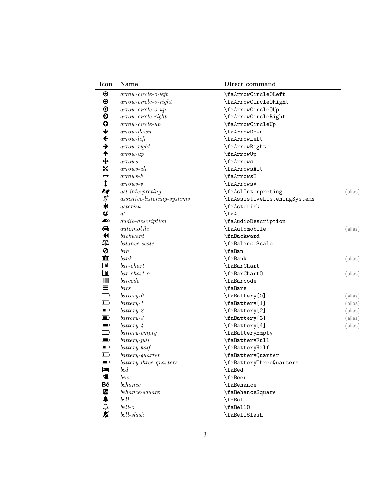| Icon                     | <b>Name</b>                            | Direct command               |         |
|--------------------------|----------------------------------------|------------------------------|---------|
| ⊕                        | $arrow-circle-o-left$                  | \faArrowCircleOLeft          |         |
| $\bm{\Theta}$            | $arrow-circle-o-right$                 | \faArrowCircleORight         |         |
| $\boldsymbol{\Theta}$    | $arrow-circle-o-up$                    | \faArrowCircleOUp            |         |
| €                        | $arrow-circle-right$                   | \faArrowCircleRight          |         |
| $\bullet$                | $arrow-circle-up$                      | \faArrowCircleUp             |         |
| $\blacklozenge$          | arrow-down                             | \faArrowDown                 |         |
| ←                        | $arrow-left$                           | \faArrowLeft                 |         |
| $\rightarrow$            | $arrow-right$                          | \faArrowRight                |         |
| ↑                        | $arrow-up$                             | \faArrowUp                   |         |
| $\ddot{+}$               | arrows                                 | \faArrows                    |         |
| X                        | arrows-alt                             | \faArrowsAlt                 |         |
| $\overline{\phantom{a}}$ | $arrows-h$                             | \faArrowsH                   |         |
| $\ddagger$               | $arrows-v$                             | \faArrowsV                   |         |
| kg                       | $as$ <i>l</i> -interpreting            | \faAslInterpreting           | (alias) |
| ீ                        | $\emph{associative-listening-systems}$ | \faAssistiveListeningSystems |         |
| *                        | asterisk                               | \faAsterisk                  |         |
| @                        | at                                     | \faAt                        |         |
| <b>AD</b> ))             | <i>audio-description</i>               | \faAudioDescription          |         |
| ⇔                        | automobile                             | \faAutomobile                | (alias) |
| K                        | background                             | \faBackward                  |         |
| ₫₫                       | $balance-scale$                        | \faBalanceScale              |         |
| 0                        | ban                                    | \faBan                       |         |
| 血                        | bank                                   | \faBank                      | (alias) |
| .lıl                     | $bar-chart$                            | \faBarChart                  |         |
| <u>  111</u>             | $bar-chart-o$                          | \faBarChart0                 | (alias) |
|                          | barcode                                | \faBarcode                   |         |
| Ξ                        | bars                                   | \faBars                      |         |
| ▭                        | $battery-0$                            | \faBattery[0]                | (alias) |
| $\blacksquare$           | $battery-1$                            | \faBattery[1]                | (alias) |
| $\blacksquare$           | $battery-2$                            | \faBattery[2]                | (alias) |
| $\blacksquare$           | $battery-3$                            | \faBattery[3]                | (alias) |
| $\blacksquare$           | $battery-4$                            | \faBattery[4]                | (alias) |
| ▭                        | $battery-empty$                        | \faBatteryEmpty              |         |
| $\blacksquare$           | $battery$ -full                        | \faBatteryFull               |         |
| $\blacksquare$           | $battery-half$                         | \faBatteryHalf               |         |
| $\blacksquare$           | battery-quarter                        | \faBatteryQuarter            |         |
| $\blacksquare$           | $battery-three-quarters$               | \faBatteryThreeQuarters      |         |
| I۴                       | bed                                    | \faBed                       |         |
| Ф                        | beer                                   | \faBeer                      |         |
| Bē                       | behance                                | \faBehance                   |         |
| Be                       | behance-square                         | \faBehanceSquare             |         |
| ▲                        | bell                                   | \faBell                      |         |
| ♤                        | $bell-o$                               | \faBell0                     |         |
| K                        | $bell\text{-}slash$                    | \faBellSlash                 |         |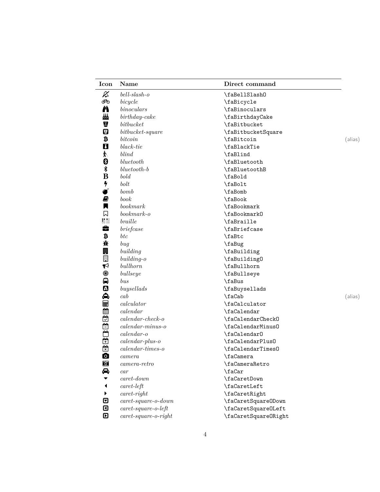| Icon                       | Name                      | Direct command       |         |
|----------------------------|---------------------------|----------------------|---------|
| $\boldsymbol{\mathcal{Z}}$ | $bell\text{-}slash-o$     | \faBellSlash0        |         |
| ම්ල                        | bicycle                   | \faBicycle           |         |
| Ä                          | binoculars                | \faBinoculars        |         |
| 丛                          | $birthday\text{-} cake$   | \faBirthdayCake      |         |
| g                          | bit bucket                | \faBitbucket         |         |
| 0                          | $bit bucket-square$       | \faBitbucketSquare   |         |
| ₿                          | bitcoin                   | \faBitcoin           | (alias) |
| $\mathbf{u}$               | $black-tie$               | \faBlackTie          |         |
| Ý,                         | blind                     | \faBlind             |         |
| 0                          | bluetooth                 | \faBluetooth         |         |
| ≸                          | $blue tooth-b$            | \faBluetoothB        |         |
| B                          | bold                      | \faBold              |         |
| 4                          | bolt                      | \faBolt              |         |
| Ø                          | bomb                      | \faBomb              |         |
| Ø                          | book                      | \faBook              |         |
| П                          | bookmark                  | <b>\faBookmark</b>   |         |
| 口                          | $bookmark-o$              | \faBookmark0         |         |
|                            | braille                   | \faBraille           |         |
| ŝ                          | briefcase                 | \faBriefcase         |         |
| ₿                          | $_{btc}$                  | \faBtc               |         |
| 斍                          | bug                       | \faBug               |         |
| 團                          | building                  | \faBuilding          |         |
| ▣                          | $building-o$              | \faBuilding0         |         |
| ಳ                          | bullhorn                  | \faBullhorn          |         |
| ◉                          | bullseye                  | \faBullseye          |         |
| ₽                          | bus                       | \faBus               |         |
| മ                          | buysellads                | \faBuysellads        |         |
| ♠                          | cab                       | \faCab               | (alias) |
| ⊞                          | calculator                | \faCalculator        |         |
|                            | $\emph{calendar}$         | \faCalendar          |         |
|                            | $\emph{calardar-check-o}$ | \faCalendarCheck0    |         |
| 建立自己的                      | $\emph{calardar-minus-o}$ | \faCalendarMinus0    |         |
|                            | $calen$ ar- $o$           | \faCalendar0         |         |
|                            | $calen dar$ -plus- $o$    | \faCalendarPlus0     |         |
|                            | $\emph{calardar-times-o}$ | \faCalendarTimes0    |         |
| $\bullet$                  | $\it camera$              | \faCamera            |         |
| $\bullet$                  | $camera-retro$            | \faCameraRetro       |         |
| ⇔                          | car                       | \faCar               |         |
|                            | $\emph{caret-down}$       | \faCaretDown         |         |
|                            | $caret$ -left             | \faCaretLeft         |         |
|                            | $caret$ -right            | \faCaretRight        |         |
| ⊡                          | $caret$ -square-o-down    | \faCaretSquareODown  |         |
| ⊡                          | $caret$ -square-o-left    | \faCaretSquareOLeft  |         |
| ₪                          | $caret$ -square-o-right   | \faCaretSquareORight |         |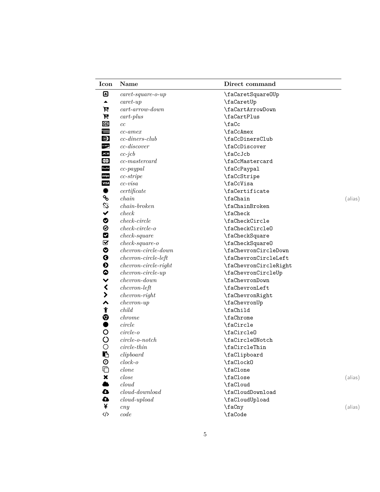| Icon                    | Name                      | Direct command        |         |
|-------------------------|---------------------------|-----------------------|---------|
| ◙                       | $caret$ -square-o-up      | \faCaretSquareOUp     |         |
| ▲                       | $caret$ -up               | \faCaretUp            |         |
| P                       | $cart - arrow - down$     | \faCartArrowDown      |         |
| Ħ                       | $cart$ -plus              | \faCartPlus           |         |
| cc                      | cc                        | \faCc                 |         |
| anggoran<br>  Externe   | $cc$ -amex                | \faCcAmex             |         |
| $\bigcirc$              | $cc$ -diners-club         | \faCcDinersClub       |         |
| DISCOVER                | $cc$ -discover            | \faCcDiscover         |         |
| JCB                     | $cc$ -j $cb$              | \faCcJcb              |         |
| <b>MasterCard</b>       | $cc$ -mastercard          | \faCcMastercard       |         |
| PayPal                  | $cc$ -paypal              | \faCcPaypal           |         |
| stripe                  | $cc\text{-}strip$         | \faCcStripe           |         |
| <b>VISA</b>             | $cc \text{-} \text{visa}$ | \faCcVisa             |         |
| ₩                       | certificate               | \faCertificate        |         |
| ዔ                       | chain                     | \faChain              | (alias) |
| ℅                       | $chain-broken$            | \faChainBroken        |         |
| $\checkmark$            | check                     | \faCheck              |         |
| $\bullet$               | $check-circle$            | \faCheckCircle        |         |
| $\odot$                 | $check-circle$ - $c$      | \faCheckCircleO       |         |
| M                       | $check-square$            | \faCheckSquare        |         |
| $\mathbf{\overline{v}}$ | $check-square-o$          | \faCheckSquare0       |         |
| ◔                       | $chevron-circle-down$     | \faChevronCircleDown  |         |
| $\boldsymbol{Q}$        | $chevron-circle-left$     | \faChevronCircleLeft  |         |
| $\boldsymbol{\Theta}$   | $chevron-circle-right$    | \faChevronCircleRight |         |
| $\bullet$               | $chevron-circle-up$       | \faChevronCircleUp    |         |
| $\checkmark$            | $chevron-down$            | \faChevronDown        |         |
| $\blacktriangleleft$    | $chevron-left$            | \faChevronLeft        |         |
| $\blacktriangleright$   | $\emph{chervon-right}$    | \faChevronRight       |         |
| ∧                       | $chevron-up$              | \faChevronUp          |         |
| ۴                       | child                     | \faChild              |         |
| ୭                       | chrome                    | \faChrome             |         |
| $\bullet$               | circle                    | \faCircle             |         |
| $\circ$                 | $circle-o$                | \faCircle0            |         |
| $\circ$                 | $circle-o\n-notch$        | \faCircleONotch       |         |
| O                       | $circle\text{-}thin$      | \faCircleThin         |         |
| B                       | clipboard                 | \faClipboard          |         |
| $\odot$                 | $clock-o$                 | \faClock0             |         |
| Ò                       | clone                     | \faClone              |         |
| $\pmb{\times}$          | close                     | \faClose              | (alias) |
|                         | cloud                     | \faCloud              |         |
| $\bullet$               | $cloud\text{-}download$   | \faCloudDownload      |         |
| △                       | $cloud-upload$            | \faCloudUpload        |         |
| ¥                       | cny                       | \faCny                | (alias) |
| $\langle \rangle$       | code                      | \faCode               |         |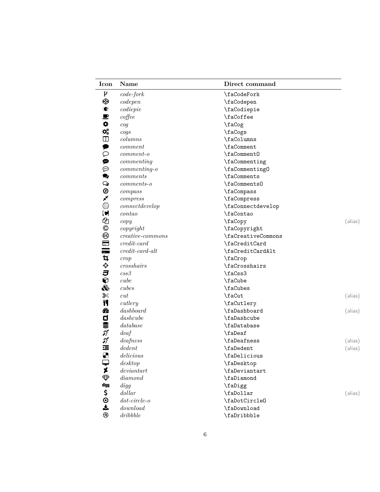| Icon                  | Name                                          | Direct command     |         |
|-----------------------|-----------------------------------------------|--------------------|---------|
| Y                     | $code{\text -}fork$                           | \faCodeFork        |         |
| �                     | codepen                                       | \faCodepen         |         |
| C                     | co diepie                                     | \faCodiepie        |         |
| ₽                     | cofree                                        | \faCoffee          |         |
| 0                     | cog                                           | \faCog             |         |
| $\mathbf{Q}_0^0$      | cogs                                          | \faCogs            |         |
| $\blacksquare$        | columns                                       | \faColumns         |         |
| ₽                     | comment                                       | \faComment         |         |
| ₽                     | $comment-$                                    | \faComment0        |         |
| ⊕                     | commenting                                    | \faCommenting      |         |
| ⊕                     | $commenting-o$                                | \faCommenting0     |         |
| ୭                     | comments                                      | \faComments        |         |
| Q                     | $comments\text{-}o$                           | \faComments0       |         |
| $\circledcirc$        | compass                                       | \faCompass         |         |
| ×                     | compress                                      | \faCompress        |         |
| ◈                     | $\label{eq:connected} connect develop$        | \faConnectdevelop  |         |
| $\blacksquare$        | $\emph{contao}$                               | \faContao          |         |
| ඇ                     | copy                                          | \faCopy            | (alias) |
| $^\copyright$         | copyright                                     | \faCopyright       |         |
| ☺                     | $\label{eq:ceative-commons} creative-commons$ | \faCreativeCommons |         |
| ⊟                     | $credit-card$                                 | \faCreditCard      |         |
| $\equiv$              | $credit\text{-}card\text{-}alt$               | \faCreditCardAlt   |         |
| 4                     | crop                                          | \faCrop            |         |
| ¢                     | crosshairs                                    | \faCrosshairs      |         |
| J                     | $\, \,$ c $\,$ s $\,$ 3                       | \faCss3            |         |
| 0                     | cube                                          | \faCube            |         |
| ⊛                     | cubes                                         | \faCubes           |         |
| ℁                     | cut                                           | \faCut             | (alias) |
| Y1                    | cutlery                                       | \faCutlery         |         |
| ☎                     | dash                                          | \faDashboard       | (alias) |
|                       | dash <i>double</i>                            | \faDashcube        |         |
| ロミジジョ                 | database                                      | \faDatabase        |         |
|                       | deaf                                          | \faDeaf            |         |
|                       | deafness                                      | \faDeafness        | (alias) |
|                       | dedent                                        | \faDedent          | (alias) |
| 8                     | $delicious$                                   | \faDelicious       |         |
| ⋤                     | $\,$ desktop                                  | \faDesktop         |         |
| 1                     | deviantart                                    | \faDeviantart      |         |
| $\bigoplus$           | diamonded                                     | \faDiamond         |         |
| digg                  | digg                                          | \faDigg            |         |
| \$                    | dollar                                        | \faDollar          | (alias) |
| $\boldsymbol{\Theta}$ | $dot-circle$ - $o$                            | \faDotCircleO      |         |
| 소                     | download                                      | \faDownload        |         |
| ⊛                     | dribible                                      | \faDribbble        |         |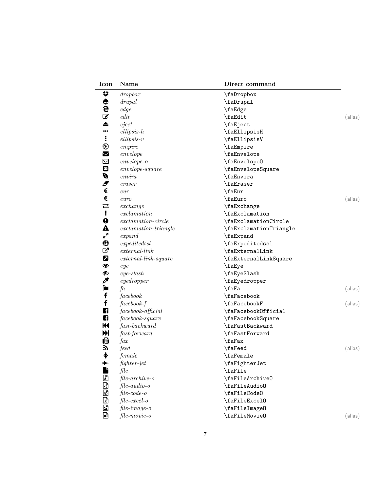| Icon                  | Name                      | Direct command         |         |
|-----------------------|---------------------------|------------------------|---------|
| ₩                     | dropbox                   | \faDropbox             |         |
|                       | drupal                    | \faDrupal              |         |
| <b>CHA</b>            | edge                      | \faEdge                |         |
|                       | edit                      | \faEdit                | (alias) |
| ▲                     | eject                     | \faEject               |         |
|                       | $ellipsis-h$              | \faEllipsisH           |         |
| ÷                     | $ellipsis-v$              | \faEllipsisV           |         |
| $^\circledR$          | empire                    | \faEmpire              |         |
| M                     | envelope                  | \faEnvelope            |         |
| ⊠                     | $envelope$ - o            | \faEnvelope0           |         |
| $\blacksquare$        | $envelope \text{-}square$ | \faEnvelopeSquare      |         |
| Ø                     | $\emph{envira}$           | \faEnvira              |         |
| Ð                     | eraser                    | \faEraser              |         |
| €                     | eur                       | \faEur                 |         |
| €                     | euro                      | \faEuro                | (alias) |
| $\rightleftarrows$    | $\emph{exchange}$         | \faExchange            |         |
| Ţ                     | exclamation               | \faExclamation         |         |
| $\mathbf 0$           | $exclamation-circle$      | \faExclamationCircle   |         |
| ▲                     | $exclamation-triangle$    | \faExclamationTriangle |         |
| ▞                     | expand                    | \faExpand              |         |
| ⊕                     | expectedssl               | \faExpeditedssl        |         |
| び                     | $external\text{-}link$    | \faExternalLink        |         |
| 2                     | $external$ -link-square   | \faExternalLinkSquare  |         |
| ◉                     | eye                       | \faEye                 |         |
| Ø                     | $eye$ -slash              | \faEyeSlash            |         |
| P                     | eyedropper                | \faEyedropper          |         |
| Þ                     | fa                        | \faFa                  | (alias) |
| f                     | facebook                  | \faFacebook            |         |
| f                     | $facebook-f$              | \faFacebookF           | (alias) |
| F                     | facebook-official         | \faFacebookOfficial    |         |
| ŋ                     | facebook-square           | \faFacebookSquare      |         |
| $\blacktriangleright$ | $fast-backward$           | \faFastBackward        |         |
| H                     |                           | \faFastForward         |         |
|                       | fast-forward              |                        |         |
| 咱<br>へ                | $\iint\! a x$             | \faFax                 |         |
| ∲                     | feed                      | \faFeed<br>\faFemale   | (alias) |
|                       | female                    |                        |         |
| D                     | fighter-jet               | \faFighterJet          |         |
|                       | file                      | \faFile                |         |
| ß                     | $file-archive-o$          | \faFileArchive0        |         |
| ⊡                     | $file-audio-o$            | \faFileAudio0          |         |
| <u>prese</u>          | $file-code-o$             | \faFileCode0           |         |
|                       | $file\text{-}excel-o$     | \faFileExcel0          |         |
|                       | file-image-o              | \faFileImage0          |         |
|                       | file-movie-o              | \faFileMovie0          | (alias) |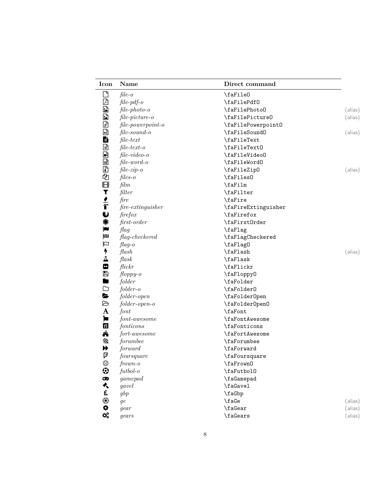| Icon                | Name                           | Direct command        |  |
|---------------------|--------------------------------|-----------------------|--|
|                     | $file-o$                       | \faFile0              |  |
|                     | $file$ -pdf-o                  | \faFilePdf0           |  |
|                     | $file\text{-}photo\text{-}o$   | \faFilePhoto0         |  |
|                     | $file-picture-o$               | \faFilePicture0       |  |
| 医蛋白色的               | $file-power point-o$           | \faFilePowerpoint0    |  |
|                     | $file$ -sound-o                | \faFileSound0         |  |
|                     | $file-text$                    | \faFileText           |  |
| ee ee e             | $file-text-o$                  | \faFileText0          |  |
|                     | $file-video-o$                 | \faFileVideo0         |  |
|                     | $file-word-o$                  | \faFileWord0          |  |
|                     | $file-zip-o$                   | \faFileZipO           |  |
|                     | $files-0$                      | \faFiles0             |  |
| 的母▼!←←              | film                           | \faFilm               |  |
|                     | filter                         | \faFilter             |  |
|                     | $\int$ <i>fire</i>             | \faFire               |  |
|                     | $\it fire\mbox{-}extinguisher$ | \faFireExtinguisher   |  |
| $\ddot{\mathbf{v}}$ | firefox                        | \faFirefox            |  |
| 0                   | first-order                    | \faFirst0rder         |  |
| Þ                   | flag                           | \faFlag               |  |
| p                   | $flag-checkered$               | \faFlagCheckered      |  |
| $\square$           | $flag-o$                       | \faFlag0              |  |
| 4                   | $\mathit{Hash}$                | \faFlash              |  |
| Δ                   | $\operatorname{flask}$         | \faFlask              |  |
| $\bullet$           | flickr                         | \faFlickr             |  |
| ₿                   | $f loppy-o$                    | \faFloppy0            |  |
| m                   | folder                         | \faFolder             |  |
| ◘                   | $folder-o$                     | \faFolder0            |  |
| L,                  | $folder-open$                  | \faFolder0pen         |  |
| ₿                   | $folder-open-o$                | \faFolder0pen0        |  |
| A                   | font                           | \faFont               |  |
| Þ                   | $font \text{-}awesome$         | <b>\faFontAwesome</b> |  |
| fi                  | fonticons                      | \faFonticons          |  |
| Å                   | fort-awesome                   | <b>\faFortAwesome</b> |  |
| Uh                  | forumbee                       | <b>\faForumbee</b>    |  |
| ▶                   | forward                        | \faForward            |  |
| 卩                   | foursquare                     | \faFoursquare         |  |
| $\odot$             | $frown-o$                      | \faFrown0             |  |
| $\odot$             | $futbol-o$                     | \faFutbol0            |  |
| $\pmb{\infty}$      | gamepad                        | \faGamepad            |  |
| ⊀                   | gavel                          | \faGavel              |  |
| £                   | gbp                            | \faGbp                |  |
| $\circledast$       | $\,$                           | $\setminus f \cdot d$ |  |
| 0                   | gear                           | $\iota$ fa<br>Gear    |  |
| $\Omega_0^0$        | years                          | $\frac{3}{4}$         |  |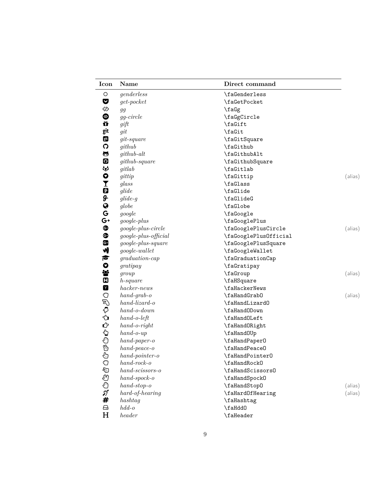| Icon         | Name                          | Direct command        |         |
|--------------|-------------------------------|-----------------------|---------|
| O            | genderless                    | \faGenderless         |         |
| Ø            | $get-pocket$                  | \faGetPocket          |         |
| ♦            | gg                            | \faGg                 |         |
| ◉            | $gg\text{-}circle$            | \faGgCircle           |         |
| ũ            | gift                          | \faGift               |         |
| git          | git                           | \faGit                |         |
| git          | $git-square$                  | \faGitSquare          |         |
| O            | github                        | \faGithub             |         |
| 5            | github-alt                    | \faGithubAlt          |         |
| 0            | $github$ -square              | \faGithubSquare       |         |
| ₩            | gitlab                        | \faGitlab             |         |
| 0            | gittip                        | \faGittip             | (alias) |
| I            | glass                         | \faGlass              |         |
| Ø            | glide                         | \faGlide              |         |
| д.           | $glide-g$                     | \faGlideG             |         |
| $\bullet$    | globe                         | \faGlobe              |         |
| G            | google                        | \faGoogle             |         |
| G+           | google-plus                   | \faGooglePlus         |         |
| ⊕            | $google-plus-circle$          | \faGooglePlusCircle   | (alias) |
| ❸            | google-plus-official          | \faGooglePlusOfficial |         |
| $\mathbf{G}$ | google-plus-square            | \faGooglePlusSquare   |         |
| W            | google-wallet                 | \faGoogleWallet       |         |
| r            | $gradation-cap$               | \faGraduationCap      |         |
| $\bullet$    | gratipay                      | \faGratipay           |         |
| 쓩            | group                         | \faGroup              | (alias) |
| Œ            | $h$ -square                   | \faHSquare            |         |
| $\mathbf{Y}$ | hacker-news                   | \faHackerNews         |         |
| O            | $hand\text{-}graph\text{-}o$  | \faHandGrab0          | (alias) |
| E)           | $hand\text{-}lizard\text{-}o$ | \faHandLizard0        |         |
| €            | $hand-o-down$                 | \faHandODown          |         |
| ⇘            | $hand-o-left$                 | \faHandOLeft          |         |
| Ů            | $hand-0-right$                | \faHandORight         |         |
| ⇘            | $hand-o-up$                   | \faHand0Up            |         |
| ¢            | $hand\text{-}paper\text{-}o$  | \faHandPaper0         |         |
|              | $hand\text{-}peace\text{-}o$  | \faHandPeace0         |         |
| ⊕            | $hand-pointer-o$              | \faHandPointer0       |         |
| O            | $hand\n-rock-0$               | \faHandRock0          |         |
| ☜            | $hand-scissors-o$             | \faHandScissors0      |         |
|              | $hand\text{-}spock\text{-}o$  | \faHandSpock0         |         |
| 心のプ#         | $hand-stop-o$                 | \faHandStop0          | (alias) |
|              | $hard-of-hearing$             | \faHardOfHearing      | (alias) |
|              | hashtag                       | \faHashtag            |         |
| $\ominus$    | $hdd-o$                       | \faHdd0               |         |
| $H_{\rm}$    | header                        | \faHeader             |         |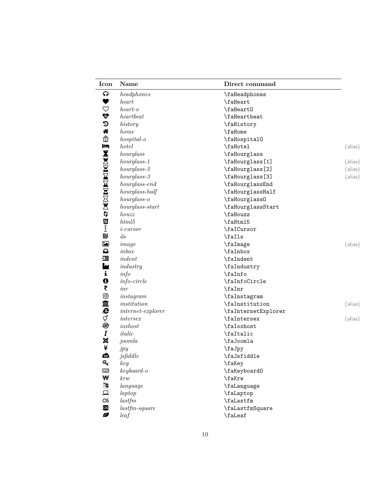| Icon                     | Name                            | Direct command      |         |
|--------------------------|---------------------------------|---------------------|---------|
| ဂ                        | head phones                     | \faHeadphones       |         |
| ♥                        | heart                           | \faHeart            |         |
| $\heartsuit$             | heart-o                         | \faHeart0           |         |
| $\mathbf{\mathbf{\Psi}}$ | heartbeat                       | \faHeartbeat        |         |
| D                        | history                         | \faHistory          |         |
| ಣ                        | home                            | \faHome             |         |
| ė                        | $hospital$ -o                   | \faHospital0        |         |
| F                        | hotel                           | \faHotel            | (alias) |
|                          | hourglass                       | \faHourglass        |         |
|                          | $hour glass-1$                  | \faHourglass[1]     | (alias) |
|                          | $hour glass-2$                  | \faHourglass[2]     | (alias) |
|                          | $hour glass-3$                  | \faHourglass[3]     | (alias) |
|                          | $hour glass-end$                | \faHourglassEnd     |         |
|                          | hourglass-half                  | \faHourglassHalf    |         |
|                          | $hour glass-o$                  | \faHourglass0       |         |
|                          | $hour glass-start$              | \faHourglassStart   |         |
|                          | houzz                           | \faHouzz            |         |
|                          | html5                           | \faHtml5            |         |
| <b>NEWWARKERSHELL</b>    | <i>i</i> -cursor                | \faICursor          |         |
| <b>DJ</b>                | ils                             | \faIls              |         |
| ¥                        | image                           | \faImage            | (alias) |
| $\boldsymbol{\Omega}$    | in box                          | \faInbox            |         |
| 這                        | indent                          | \faIndent           |         |
| l                        | industry                        | \faIndustry         |         |
| i                        | info                            | $\lambda$           |         |
| $\boldsymbol{\theta}$    | $info-circle$                   | \faInfoCircle       |         |
| ₹                        | inr                             | \faInr              |         |
| ම                        | instagram                       | \faInstagram        |         |
| 血                        | institution                     | \faInstitution      | (alias) |
| e                        | $internet-explorer$             | \faInternetExplorer |         |
| ợ                        | intersex                        | \faIntersex         | (alias) |
| ⊜                        | $i$ <i>oxhost</i>               | \faIoxhost          |         |
| $\boldsymbol{I}$         | italic                          | \faItalic           |         |
| ×                        | joomla                          | \faJoomla           |         |
| ¥                        | jpy                             | \faJpy              |         |
| ఉ                        | j s f d d l e                   | \faJsfiddle         |         |
| ୍ଚ୍ଚ                     | key                             | \faKey              |         |
| <b>Final</b>             | $keyboard-o$                    | \faKeyboard0        |         |
| ₩                        | krw                             | \faKrw              |         |
| 國                        | language                        | \faLanguage         |         |
| 므                        | $l$ aptop                       | \faLaptop           |         |
| $\infty$                 | lastfm                          | \faLastfm           |         |
| $\infty$                 | $\label{eq:asf} last fm-square$ | \faLastfmSquare     |         |
| Ø                        | leaf                            | \faLeaf             |         |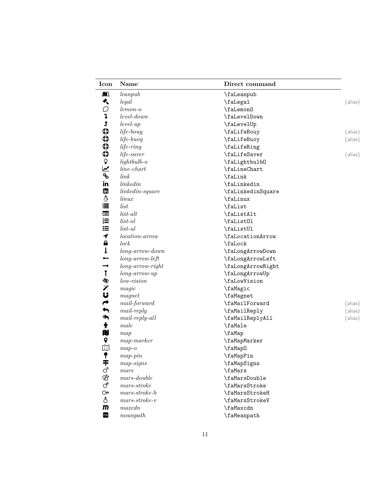| Icon                      | <b>Name</b>                   | Direct command    |         |
|---------------------------|-------------------------------|-------------------|---------|
| m                         | leanpub                       | \faLeanpub        |         |
| ⊀                         | legal                         | \faLegal          | (alias) |
| O                         | $lemon-o$                     | \faLemon0         |         |
| ļ                         | $level-down$                  | \faLevelDown      |         |
| $\mathbf t$               | $level-up$                    | \faLevelUp        |         |
| $\boldsymbol{\Theta}$     | $life$ -bouy                  | \faLifeBouy       | (alias) |
| $\boldsymbol{\mathbb{Q}}$ | $life$ -buoy                  | \faLifeBuoy       | (alias) |
| $\boldsymbol{\mathbb{Q}}$ | $life$ - $ring$               | \faLifeRing       |         |
| $\boldsymbol{\Theta}$     | life-saver                    | \faLifeSaver      | (alias) |
| $\mathbb Q$               | $light bulb$ -o               | \faLightbulb0     |         |
| $\overline{\mathbf{r}}$   | $line$ -chart                 | \faLineChart      |         |
| ዔ                         | link                          | \faLink           |         |
| in                        | linkedin                      | \faLinkedin       |         |
| <b>i</b>                  | $linked in-square$            | \faLinkedinSquare |         |
| A                         | $\lim_{x\to 0}$               | \faLinux          |         |
| 這                         | list                          | \faList           |         |
| E                         | $list-alt$                    | \faListAlt        |         |
| $rac{1}{3}$               | $list$ -ol                    | \faList01         |         |
| 這                         | $list$ -ul                    | \faListUl         |         |
| $\blacktriangledown$      | $location-arrow$              | \faLocationArrow  |         |
| $\bullet$                 | lock                          | \faLock           |         |
| $\downarrow$              | $long-arrow-down$             | \faLongArrowDown  |         |
| $\overline{\phantom{0}}$  | $long-arrow-left$             | \faLongArrowLeft  |         |
| $\rightarrow$             | $long-arrow-right$            | \faLongArrowRight |         |
| $\mathbf{f}$              | $long-arrow-up$               | \faLongArrowUp    |         |
| 含                         | $low-vision$                  | \faLowVision      |         |
| プリ                        | magic                         | \faMagic          |         |
|                           | magnet                        | \faMagnet         |         |
| $\rightarrow$             | $mail-forward$                | \faMailForward    | (alias) |
| $\blacklozenge$           | $mail-reply$                  | \faMailReply      | (alias) |
| $\blacklozenge$           | $mail-reply-all$              | \faMailReplyAll   | (alias) |
| Ť                         | male                          | \faMale           |         |
| N                         | map                           | \faMap            |         |
| 9                         | $map\text{-}marker$           | \faMapMarker      |         |
| $\mathbbm{D}$             | $map-o$                       | \faMap0           |         |
|                           | $map\text{-}pin$              | \faMapPin         |         |
|                           | $map-signs$                   | \faMapSigns       |         |
|                           | mars                          | \faMars           |         |
| キでおご                      | $mars\text{-}double$          | \faMarsDouble     |         |
|                           | $mars\text{-}stroke$          | \faMarsStroke     |         |
| $\Theta$                  | $mars\text{-}stroke\text{-}h$ | \faMarsStrokeH    |         |
| ి                         | $mars\text{-}stroke\text{-}v$ | \faMarsStrokeV    |         |
| $\overline{m}$            | maxcdn                        | \faMaxcdn         |         |
| mp                        | meanpath                      | \faMeanpath       |         |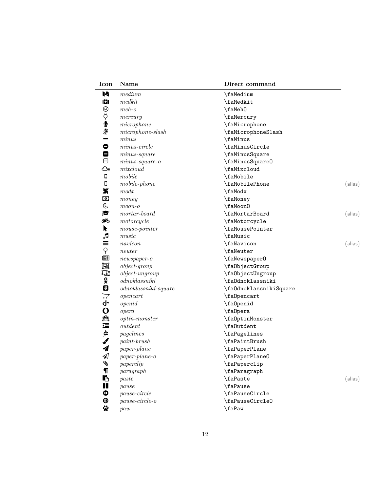| Icon                       | <b>Name</b>              | Direct command         |         |
|----------------------------|--------------------------|------------------------|---------|
| M                          | medium                   | \faMedium              |         |
| O                          | medkit                   | \faMedkit              |         |
| ☺                          | $meh$ - $o$              | \faMeh0                |         |
|                            | mercury                  | \faMercury             |         |
| Ö,                         | microphone               | \faMicrophone          |         |
| ⊉                          | $microphone$ -slash      | \faMicrophoneSlash     |         |
| -                          | minus                    | \faMinus               |         |
| $\bullet$                  | $minus-circle$           | \faMinusCircle         |         |
| ۸                          | $minus-square$           | \faMinusSquare         |         |
| Θ                          | $minus-square-o$         | \faMinusSquare0        |         |
| ره                         | mixedoud                 | \faMixcloud            |         |
| $\Box$                     | mobile                   | \faMobile              |         |
| $\Box$                     | $mobile\emph{-}phone$    | \faMobilePhone         | (alias) |
| X                          | modx                     | \faModx                |         |
| $\bullet$                  | $\n  money\n$            | \faMoney               |         |
| C                          | $moon$ - $o$             | \faMoon0               |         |
| F                          | $mortar-board$           | \faMortarBoard         | (alias) |
| ಾಂ                         | motorcycle               | \faMotorcycle          |         |
| k                          | $mouse-pointer$          | \faMousePointer        |         |
| J                          | ${\it music}$            | \faMusic               |         |
|                            | navicon                  | \faNavicon             | (alias) |
| 三〜画                        | neuter                   | \faNeuter              |         |
|                            | $newspaper-o$            | \faNewspaper0          |         |
| 回                          | $object-group$           | \fa0bjectGroup         |         |
| Щ                          | $object\text{-}ungroup$  | \fa0bjectUngroup       |         |
|                            | odnoklassniki            | \fa0dnoklassniki       |         |
| ox<br>图                    | $odnoklassniki-square$   | \fa0dnoklassnikiSquare |         |
| $\sum$                     | opencart                 | \fa0pencart            |         |
| ቀ                          | openid                   | \fa0penid              |         |
| $\mathbf 0$                | opera                    | \fa0pera               |         |
|                            | $\textit{optin-monster}$ | \fa0ptinMonster        |         |
| 然にゅう                       | outdent                  | \fa0utdent             |         |
|                            | pagelines                | \faPagelines           |         |
|                            | $paint-brush$            | \faPaintBrush          |         |
| $\boldsymbol{\mathcal{A}}$ | paper-plane              | \faPaperPlane          |         |
| ◀                          | $paper$ -plane-o         | \faPaperPlane0         |         |
| Ø                          | paper clip               | \faPaperclip           |         |
| $\P$                       | paragraph                | \faParagraph           |         |
| Ŋ                          | paste                    | \faPaste               | (alias) |
| Ш                          | pause                    | \faPause               |         |
| Ф                          | $pause-circle$           | \faPauseCircle         |         |
| ◉                          | $pause-circle-o$         | \faPauseCircle0        |         |
| $\ddot{\mathbf{x}}$        | paw                      | \faPaw                 |         |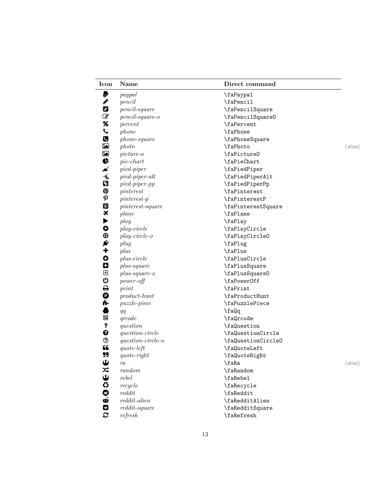| Icon                      | Name                           | Direct command     |         |
|---------------------------|--------------------------------|--------------------|---------|
| P                         | paypal                         | \faPaypal          |         |
| ℐ                         | pencil                         | \faPencil          |         |
| 0                         | $pencil$ -square               | \faPencilSquare    |         |
| ☑                         | $pencil$ -square-o             | \faPencilSquare0   |         |
| %                         | percent                        | \faPercent         |         |
| L                         | phone                          | \faPhone           |         |
| C                         | $phone\text{-}square$          | \faPhoneSquare     |         |
| $\blacksquare$            | photo                          | \faPhoto           | (alias) |
|                           | $picture-o$                    | \faPicture0        |         |
| 国家产                       | $pie$ -chart                   | \faPieChart        |         |
|                           | $pied-piper$                   | \faPiedPiper       |         |
| $\widetilde{\mathbf{A}}$  | $pied\text{-}piper\text{-}alt$ | \faPiedPiperAlt    |         |
| Ð                         | $pied-piper-pp$                | \faPiedPiperPp     |         |
| ၜ                         | pinterest                      | \faPinterest       |         |
| $\boldsymbol{\mathsf{p}}$ | $pinterest$ -p                 | \faPinterestP      |         |
| ဨ                         | $pinterest-square$             | \faPinterestSquare |         |
| ×                         | plane                          | \faPlane           |         |
| ▶                         | play                           | \faPlay            |         |
| $\bullet$                 | $play-circle$                  | \faPlayCircle      |         |
| $\odot$                   | $play-circle-o$                | \faPlayCircle0     |         |
| ø                         | plug                           | \faPlug            |         |
| $\ddagger$                | plus                           | \faPlus            |         |
| $\bullet$                 | $plus-circle$                  | \faPlusCircle      |         |
| 0                         | $plus-square$                  | \faPlusSquare      |         |
| ⊕                         | $plus-square-o$                | \faPlusSquare0     |         |
| ტ                         | $power\text{-}off$             | \faPower0ff        |         |
| 0<br>0                    | print                          | \faPrint           |         |
|                           | $product\text{-}hunt$          | \faProductHunt     |         |
| ń.                        | $puzzle$ -piece                | \faPuzzlePiece     |         |
|                           | qq                             | \faQq              |         |
| 嘂                         | q <sub>ro</sub> de             | \faQrcode          |         |
| ?                         | question                       | \faQuestion        |         |
| ❸                         | $question-circle$              | \faQuestionCircle  |         |
| ℗                         | $question-circle-o$            | \faQuestionCircleO |         |
| 66                        | $\emph{quote-left}$            | \faQuoteLeft       |         |
| 99                        | $\emph{quote-right}$           | \faQuoteRight      |         |
| $\mathbf \omega$          | ra                             | \faRa              | (alias) |
|                           | random                         | \faRandom          |         |
|                           | rebel                          | \faRebel           |         |
| はのひのよ                     | recycle                        | \faRecycle         |         |
|                           | $\red{reddit}$                 | \faReddit          |         |
|                           | $reddit\text{-}alien$          | \faRedditAlien     |         |
| 0                         | $reddit$ -square               | \faRedditSquare    |         |
| C                         | refresh                        | \faRefresh         |         |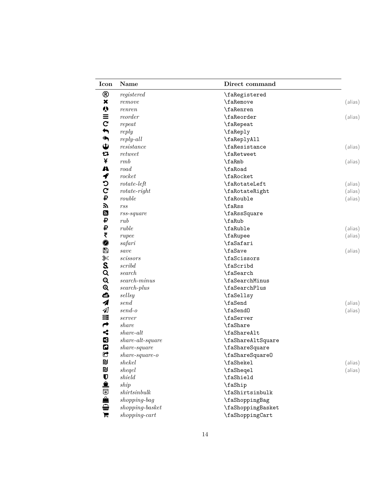| Icon                  | Name                             | Direct command    |         |
|-----------------------|----------------------------------|-------------------|---------|
| ®                     | registered                       | \faRegistered     |         |
| ×                     | remove                           | <b>\faRemove</b>  | (alias) |
| $\boldsymbol{\psi}$   | renren                           | \faRenren         |         |
| $\equiv$              | reorder                          | \faReorder        | (alias) |
| $\mathbf C$           | repeat                           | \faRepeat         |         |
| $\blacklozenge$       | reply                            | \faReply          |         |
| $\blacklozenge$       | $reply-all$                      | \faReplyAll       |         |
| $\mathbf{\hat{v}}$    | resistance                       | \faResistance     | (alias) |
| 乜                     | return                           | \faRetweet        |         |
| ¥                     | rmb                              | \faRmb            | (alias) |
| A                     | road                             | \faRoad           |         |
| ץ                     | rocket                           | \faRocket         |         |
| C                     | $rotate-left$                    | \faRotateLeft     | (alias) |
| $\mathbf C$           | $rotate-right$                   | \faRotateRight    | (alias) |
| ₽                     | rouble                           | \faRouble         | (alias) |
| へ                     | rss                              | \faRss            |         |
| Ø                     | $rss$ -square                    | \faRssSquare      |         |
| ₽                     | rub                              | \faRub            |         |
| ₽                     | ruble                            | \faRuble          | (alias) |
| ₹                     | rupee                            | \faRupee          | (alias) |
| $\bigcirc$            | safari                           | \faSafari         |         |
| В                     | save                             | \faSave           | (alias) |
| ℁                     | scissors                         | \faScissors       |         |
| S.                    | scribd                           | \faScribd         |         |
| Q                     | search                           | \faSearch         |         |
| $\mathbf{Q}$          | $search{\text -}minus$           | \faSearchMinus    |         |
| $\mathbf{\Theta}$     | $search$ -plus                   | \faSearchPlus     |         |
| ₾                     | sellsy                           | \faSellsy         |         |
| 4                     | send                             | \faSend           | (alias) |
| $\mathcal{A}$         | $send-o$                         | \faSend0          | (alias) |
| 〓                     | server                           | \faServer         |         |
| $\rightarrow$         | share                            | \faShare          |         |
| $\leq$                | share-alt                        | \faShareAlt       |         |
| B                     | $share\text{-}alt\text{-}square$ | \faShareAltSquare |         |
| $\boldsymbol{\omega}$ | $share\text{-}square$            | \faShareSquare    |         |
| G                     | $share\text{-}square\text{-}o$   | \faShareSquare0   |         |
| D                     | shekel                           | \faShekel         | (alias) |
| <b>D</b>              | sheqel                           | \faSheqel         | (alias) |
| $\mathbf U$           | shield                           | \faShield         |         |
| 盒                     | ship                             | \faShip           |         |
|                       | shirtsinbulk                     | \faShirtsinbulk   |         |
| 0 4 6                 | shopping-bag                     | \faShoppingBag    |         |
|                       | $shopping\text{-} basket$        | \faShoppingBasket |         |
| E                     | $shopping-cart$                  | \faShoppingCart   |         |
|                       |                                  |                   |         |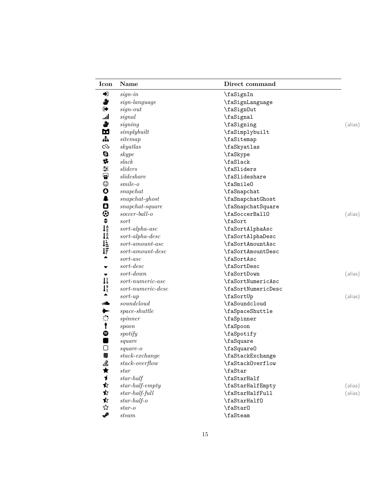| Icon                                                                                                                                      | Name                                          | Direct command     |         |
|-------------------------------------------------------------------------------------------------------------------------------------------|-----------------------------------------------|--------------------|---------|
| ♦                                                                                                                                         | $sign-in$                                     | \faSignIn          |         |
| ₩                                                                                                                                         | $sign\,-language$                             | \faSignLanguage    |         |
| ☞                                                                                                                                         | $sign-out$                                    | \faSign0ut         |         |
| ان.                                                                                                                                       | signal                                        | \faSignal          |         |
| ♣                                                                                                                                         | signing                                       | \faSigning         | (alias) |
| Ы                                                                                                                                         | simply built                                  | \faSimplybuilt     |         |
| 뉴                                                                                                                                         | sitemap                                       | \faSitemap         |         |
| $\infty$                                                                                                                                  | skyatlas                                      | \faSkyatlas        |         |
| Ø                                                                                                                                         | skype                                         | \faSkype           |         |
| *                                                                                                                                         | slack                                         | \faSlack           |         |
| ₹                                                                                                                                         | sliders                                       | \faSliders         |         |
| $\ddot{\bullet}$                                                                                                                          | $s$ <i>lideshare</i>                          | \faSlideshare      |         |
| $\odot$                                                                                                                                   | $smile-o$                                     | \faSmile0          |         |
| $\mathbf{o}$                                                                                                                              | snapchat                                      | \faSnapchat        |         |
| $\clubsuit$                                                                                                                               | $snapchat-ghost$                              | \faSnapchatGhost   |         |
| O                                                                                                                                         | $snapchat$ -square                            | \faSnapchatSquare  |         |
| $\bm{\odot}$                                                                                                                              | $soccer-ball-o$                               | \faSoccerBall0     | (alias) |
| $\div$                                                                                                                                    | sort                                          | \faSort            |         |
|                                                                                                                                           | $sort\text{-}alpha\text{-}asc$                | \faSortAlphaAsc    |         |
|                                                                                                                                           | $sort\text{-}alpha\text{-}desc$               | \faSortAlphaDesc   |         |
| $\begin{array}{c}\n\downarrow^{\text{A}}_{\text{Z}} \\ \downarrow^{\text{Z}}_{\text{A}} \\ \downarrow^{\text{L}}_{\text{L}}\n\end{array}$ | $sort-amount-asc$                             | \faSortAmountAsc   |         |
|                                                                                                                                           | $sort-amount\text{-}desc$                     | \faSortAmountDesc  |         |
| ▲                                                                                                                                         | $sort-asc$                                    | \faSortAsc         |         |
|                                                                                                                                           | $sort\text{-}desc$                            | \faSortDesc        |         |
| ▼                                                                                                                                         | $sort-down$                                   | \faSortDown        | (alias) |
| $\mathsf{I}^1_9$                                                                                                                          | $sort-numeric-asc$                            | \faSortNumericAsc  |         |
| $1_1^9$                                                                                                                                   | $sort\text{-}numeric\text{-}desc$             | \faSortNumericDesc |         |
| ▲                                                                                                                                         | $sort-up$                                     | \faSortUp          | (alias) |
| dillo                                                                                                                                     | soundcloud                                    | \faSoundcloud      |         |
| ⋟                                                                                                                                         | $space\text{-}shuttle$                        | \faSpaceShuttle    |         |
| ं                                                                                                                                         | spinner                                       | \faSpinner         |         |
| $\pmb{\mathfrak{f}}$                                                                                                                      | spoon                                         | \faSpoon           |         |
| ●                                                                                                                                         | spotify                                       | \faSpotify         |         |
| ш                                                                                                                                         | square                                        | \faSquare          |         |
| О                                                                                                                                         | $square-0$                                    | \faSquare0         |         |
| ≘                                                                                                                                         | $stack\text{-}exchange$                       | \faStackExchange   |         |
|                                                                                                                                           | $stack-overflow$                              | \faStackOverflow   |         |
|                                                                                                                                           | star                                          | \faStar            |         |
|                                                                                                                                           | $star-half$                                   | \faStarHalf        |         |
| 当★1☆                                                                                                                                      | $\label{eq:star-half} star\text{-}half-empty$ | \faStarHalfEmpty   | (alias) |
| ✿                                                                                                                                         | $star-half$ -full                             | \faStarHalfFull    | (alias) |
| ✿                                                                                                                                         | $star-half-o$                                 | \faStarHalf0       |         |
| ☆                                                                                                                                         | $star-o$                                      | \faStar0           |         |
| ✔                                                                                                                                         | $\mathit{steam}$                              | \faSteam           |         |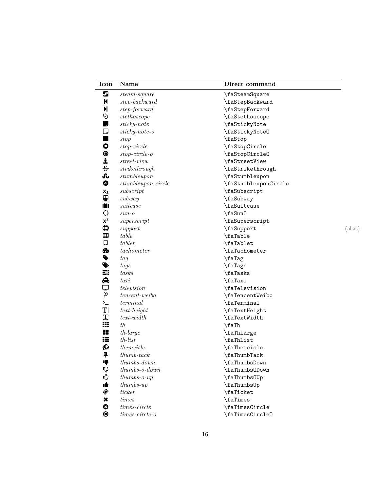| Icon                      | Name                           | Direct command       |         |
|---------------------------|--------------------------------|----------------------|---------|
| ℒ                         | $steam-square$                 | \faSteamSquare       |         |
| K                         | $step-backward$                | \faStepBackward      |         |
| N                         | step-forward                   | \faStepForward       |         |
| Ų                         | stethoscope                    | \faStethoscope       |         |
| ş                         | $sticky\text{-}note$           | \faStickyNote        |         |
| U                         | $stick y\text{-}note-o$        | \faStickyNote0       |         |
| ٠                         | stop                           | \faStop              |         |
| $\bullet$                 | $stop-circle$                  | \faStopCircle        |         |
| $\bullet$                 | $stop-circle-o$                | \faStopCircle0       |         |
| j                         | $street-view$                  | \faStreetView        |         |
| 응                         | $\operatorname{strict}$ hrough | \faStrikethrough     |         |
| Ju                        | stumble upon                   | \faStumbleupon       |         |
| ⊕                         | $stumble upon-circle$          | \faStumbleuponCircle |         |
| $\mathbf{x}_2$            | subscript                      | \faSubscript         |         |
| ⊕                         | subway                         | \faSubway            |         |
| Ô                         | suitcase                       | \faSuitcase          |         |
| ♦                         | $sun-$                         | \faSun0              |         |
| $x^2$                     | superscript                    | \faSuperscript       |         |
| $\boldsymbol{\mathbb{Q}}$ | support                        | \faSupport           | (alias) |
| 囲                         | table                          | \faTable             |         |
| $\Box$                    | tablet                         | \faTablet            |         |
| ☎                         | tachometer                     | \faTachometer        |         |
| $\bullet$                 | tag                            | \faTag               |         |
|                           | tags                           | \faTags              |         |
|                           | tasks                          | \faTasks             |         |
| <b>WEQDEQ</b>             | taxi                           | \faTaxi              |         |
|                           | television                     | \faTelevision        |         |
|                           | $tencent-weibo$                | \faTencentWeibo      |         |
| $\succ$                   | terminal                       | \faTerminal          |         |
| TI                        | $text$ -height                 | \faTextHeight        |         |
| I                         | $text-width$                   | \faTextWidth         |         |
| ₩                         | th                             | \faTh                |         |
| 8                         | $th$ -large                    | \faThLarge           |         |
| ₩                         | $th$ -list                     | \faThList            |         |
| Ø                         | themeisle                      | \faThemeisle         |         |
| ∓                         | $thumb\text{-}tack$            | \faThumbTack         |         |
| ą                         | $thumbs-down$                  | \faThumbsDown        |         |
| $\mathbf Q$               | $thumbs$ - $o$ - $down$        | \faThumbs0Down       |         |
| ᠿ                         | $thumbs$ - $o$ - $up$          | \faThumbs0Up         |         |
| ıė                        | $thumbs-up$                    | \faThumbsUp          |         |
| 令                         | ticket                         | \faTicket            |         |
| $\pmb{\times}$            | times                          | \faTimes             |         |
| ◎                         | $times-circle$                 | \faTimesCircle       |         |
| ⊛                         | $times-circle-o$               | \faTimesCircle0      |         |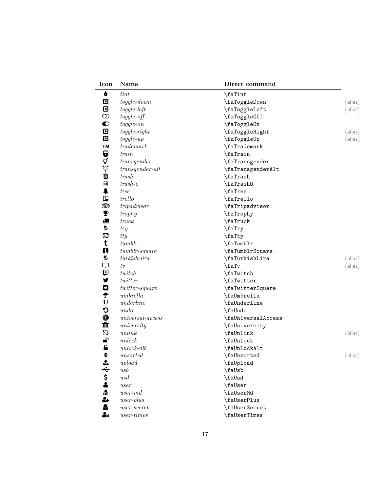| Icon                      | Name                    | Direct command     |         |
|---------------------------|-------------------------|--------------------|---------|
| 6                         | tint                    | \faTint            |         |
| ⊡                         | $to ggle-down$          | \faToggleDown      | (alias) |
| ◙                         | $to ggle-left$          | \faToggleLeft      | (alias) |
| $\circledcirc$            | $to ggle-off$           | \faToggleOff       |         |
| $\bullet$                 | $to ggle-on$            | \faToggleOn        |         |
| $\boldsymbol{\mathsf{D}}$ | $to ggle-right$         | \faToggleRight     | (alias) |
| ▣                         | $to ggle-up$            | \faToggleUp        | (alias) |
| <b>TM</b>                 | trademark               | \faTrademark       |         |
| Q                         | train                   | \faTrain           |         |
|                           | $\emph{transfer}$       | \faTransgender     |         |
| Q<br>Q                    | $transgender-alt$       | \faTransgenderAlt  |         |
| û                         | ${trash}$               | \faTrash           |         |
| 勔                         | $trash-o$               | \faTrash0          |         |
| ⇞                         | <i>tree</i>             | \faTree            |         |
| $\Box$                    | trello                  | \faTrello          |         |
| ෛ                         | tripadvisor             | \faTripadvisor     |         |
| т                         | trophy                  | \faTrophy          |         |
| 绸                         | truek                   | \faTruck           |         |
| も                         | try                     | \faTry             |         |
| €                         | tty                     | \faTty             |         |
| t                         | tumblr                  | \faTumblr          |         |
| Q                         | $tumblr$ -square        | \faTumblrSquare    |         |
| ŧ                         | $tur kish-lira$         | \faTurkishLira     | (alias) |
| ₽                         | tv                      | \faTv              | (alias) |
| Q                         | twitch                  | \faTwitch          |         |
| y                         | twitter                 | \faTwitter         |         |
| 0                         | $twitter-square$        | \faTwitterSquare   |         |
| $\hat{\mathbf{\tau}}$     | umbrella                | \faUmbrella        |         |
|                           | underline               | \faUnderline       |         |
| U<br>C                    | undo                    | \faUndo            |         |
| 0                         | $universal-access$      | \faUniversalAccess |         |
|                           | university              | \faUniversity      |         |
| 血彩                        | unlink                  | \faUnlink          | (alias) |
| ெ                         | unlock                  | \faUnlock          |         |
| $\hat{\mathbf{a}}$        | $unlock-alt$            | \faUnlockAlt       |         |
| $\div$                    | unsorted                | \faUnsorted        | (alias) |
|                           | upload                  | \faUpload          |         |
|                           | $\mathit{usb}$          | \faUsb             |         |
| 中心のよう                     | $\,us\,d$               | \faUsd             |         |
|                           | user                    | \faUser            |         |
|                           | $user\text{-}md$        | \faUserMd          |         |
| 4                         | $user$ -plus            | \faUserPlus        |         |
| â                         | $\,user\text{-}secret$  | \faUserSecret      |         |
|                           |                         |                    |         |
| å×                        | $\it user\mbox{-}times$ | \faUserTimes       |         |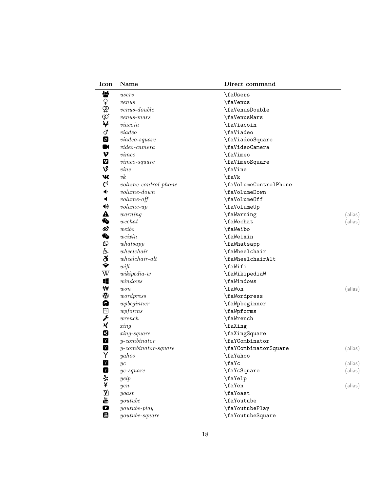| Icon                             | Name                                 | Direct command        |         |
|----------------------------------|--------------------------------------|-----------------------|---------|
| 상                                | users                                | \faUsers              |         |
|                                  | venus                                | \faVenus              |         |
|                                  | $venus\text{-}double$                | \faVenusDouble        |         |
| ≮€⊕∂                             | $venus-mars$                         | \faVenusMars          |         |
|                                  | via coin                             | \faViacoin            |         |
| ď                                | via deo                              | \faViadeo             |         |
| ď                                | $via deo-square$                     | \faViadeoSquare       |         |
| $\blacksquare$                   | $video\text{-}camera$                | \faVideoCamera        |         |
| $\boldsymbol{\nu}$               | $\nu$ <i>imeo</i>                    | \faVimeo              |         |
| 0                                | $vimeo$ -square                      | \faVimeoSquare        |         |
| V                                | vine                                 | \faVine               |         |
| W                                | vk                                   | \faVk                 |         |
| $\mathbf{C}^0$                   | $volume\text{-}control\text{-}phone$ | \faVolumeControlPhone |         |
| ◆                                | $volume-down$                        | \faVolumeDown         |         |
| ◀                                | $volume-off$                         | \faVolume0ff          |         |
| ◀ঠ                               | $volume-up$                          | \faVolumeUp           |         |
| ▲                                | warning                              | \faWarning            | (alias) |
| ቈ                                | we chat                              | \faWechat             | (alias) |
| ේ                                | weibo                                | \faWeibo              |         |
| <b>G</b>                         | weixin                               | \faWeixin             |         |
| $\odot$                          | whatsapp                             | \faWhatsapp           |         |
| ද්                               | wheel chair                          | \faWheelchair         |         |
| ඊ                                | $wheel chair-alt$                    | \faWheelchairAlt      |         |
| Ç                                | $wif\ddot$                           | \faWifi               |         |
| W                                | $wikipedia-w$                        | \faWikipediaW         |         |
| 4                                | windows                              | \faWindows            |         |
| ₩                                | won                                  | \faWon                | (alias) |
| $\bf \Phi$                       | wordpress                            | \faWordpress          |         |
| Q                                | $\label{thm:wpt} wpbeginner$         | \faWpbeginner         |         |
| 罔                                | wpforms                              | \faWpforms            |         |
| ✔                                | wrench                               | \faWrench             |         |
| χ                                | xing                                 | \faXing               |         |
| K                                | $xing-square$                        | \faXingSquare         |         |
| Y                                | $y$ -combinator                      | \faYCombinator        |         |
| $\mathbf Y$                      | $y$ -combinator-square               | \faYCombinatorSquare  | (alias) |
| Y                                | $\mathnormal{yahoo}$                 | \faYahoo              |         |
| $\mathsf{Y}$                     | yc                                   | \faYc                 | (alias) |
| $\mathbf{Y}$                     | $yc$ -square                         | \faYcSquare           | (alias) |
| 大兴                               | yelp                                 | \faYelp               |         |
|                                  | yen                                  | \faYen                | (alias) |
| Ø                                | yoast                                | \faYoast              |         |
| $\frac{\text{You}}{\text{Unle}}$ | youtube                              | \faYoutube            |         |
| D                                | $\emph{youtube-play}$                | \faYoutubePlay        |         |
| You<br>Tube                      | $youtube-square$                     | \faYoutubeSquare      |         |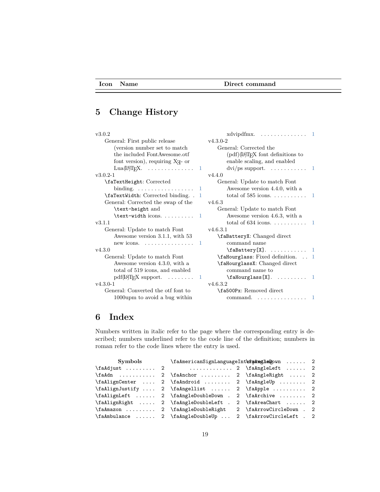#### **Icon Name Direct command**

## **5 Change History**

| v3.0.2                                                     | $xdvipdfmx. \dots \dots \dots \dots \dots \dots \dots$    |
|------------------------------------------------------------|-----------------------------------------------------------|
| General: First public release                              | $v4.3.0 - 2$                                              |
| (version number set to match)                              | General: Corrected the                                    |
| the included FontAwesome.otf                               | $(\text{pdf})(I\text{AT}E X \text{ font definitions to})$ |
| font version), requiring X <sub>H</sub> - or               | enable scaling, and enabled                               |
| Lua( $\text{Lip}$ )T <sub>F</sub> X.  1                    | $\frac{dvi}{ps}$ support.  1                              |
| $v3.0.2 - 1$                                               | v4.4.0                                                    |
| \faTextHeight: Corrected                                   | General: Update to match Font                             |
| binding. $\ldots \ldots \ldots \ldots \ldots$<br>-1        | Awesome version 4.4.0, with a                             |
| \faTextWidth: Corrected binding<br>$\mathbf{1}$            |                                                           |
| General: Corrected the swap of the                         | v4.6.3                                                    |
| \text-height and                                           | General: Update to match Font                             |
| $\texttt{\text{-}width}$ icons.  1                         | Awesome version 4.6.3, with a                             |
| v3.1.1                                                     |                                                           |
| General: Update to match Font                              | v4.6.3.1                                                  |
| Awesome version 3.1.1, with 53                             | \faBatteryX: Changed direct                               |
| new icons. $\dots \dots \dots \dots \dots$<br>$\mathbf{1}$ | command name                                              |
| v4.3.0                                                     | $\{\texttt{aBattery[X]}.\dots\dots\dots 1\}$              |
| General: Update to match Font                              | $\Lambda$ . $\Lambda$ . Fixed definition. $\Lambda$ . 1   |
| Awesome version 4.3.0, with a                              | \faHourglassX: Changed direct                             |
| total of 519 icons, and enabled                            | command name to                                           |
| $pdf(\text{LATF}X support. \dots \dots \dots 1$            | $\mathcal{X}$ .  1                                        |
| $v4.3.0-1$                                                 | v4.6.3.2                                                  |
| General: Converted the otf font to                         | \fa500Px: Removed direct                                  |
| 1000upm to avoid a bug within                              | command. $\ldots$ , $\ldots$ , $\ldots$ , $\ldots$        |
|                                                            |                                                           |

## **6 Index**

Numbers written in italic refer to the page where the corresponding entry is described; numbers underlined refer to the code line of the definition; numbers in roman refer to the code lines where the entry is used.

| <b>Symbols</b>                   |                                                                      | \faAmericanSignLanguageIntertaAmetleDown  2 |  |
|----------------------------------|----------------------------------------------------------------------|---------------------------------------------|--|
|                                  | \faAdjust  2 \faAngleLeft  2                                         |                                             |  |
|                                  | $\fadh$ 2 $\fahrichor$ 2 $faAnglekight$ 2                            |                                             |  |
|                                  | $\fahlignCenter \ldots 2 \fadhndroid \ldots 2 \fadhngleUp \ldots 2$  |                                             |  |
|                                  | $\fahlignJustify \ldots 2 \fadhpgellist \ldots 2 \fadhpple \ldots 2$ |                                             |  |
|                                  | $\fahlignLeft$ 2 $\fadhngleDoubleDown$ . 2 $fahrchive$ 2             |                                             |  |
|                                  | \faAlignRight  2 \faAngleDoubleLeft . 2 \faAreaChart  2              |                                             |  |
| \faAmazon  2 \faAngleDoubleRight |                                                                      | 2 \faArrowCircleDown . 2                    |  |
|                                  | \faAmbulance  2 \faAngleDoubleUp  2 \faArrowCircleLeft . 2           |                                             |  |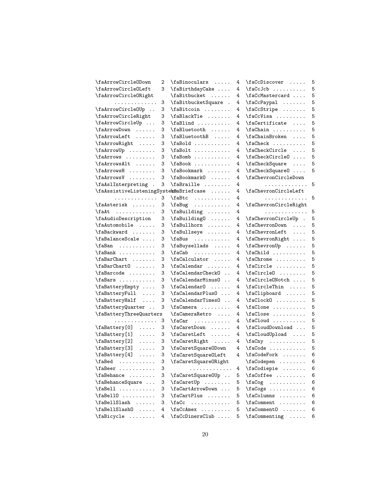| \faArrowCircleODown                                         | 2 | \faBinoculars                            | 4 | \faCcDiscover                                   | 5 |
|-------------------------------------------------------------|---|------------------------------------------|---|-------------------------------------------------|---|
| \faArrowCircleOLeft                                         | 3 | \faBirthdayCake                          | 4 | $\frac{c}{c}$                                   | 5 |
| \faArrowCircleORight                                        |   | \faBitbucket                             | 4 | \faCcMastercard                                 | 5 |
| .                                                           | 3 | \faBitbucketSquare .                     | 4 | $\frac{cPypal \ldots \ldots}{\ldots}$           | 5 |
| \faArrowCircleOUp                                           | 3 | \faBitcoin                               | 4 | $\frac{C^2}{2}$                                 | 5 |
| \faArrowCircleRight                                         | 3 | \faBlackTie                              | 4 | \faCcVisa                                       | 5 |
| \faArrowCircleUp                                            | 3 |                                          | 4 | \faCertificate                                  | 5 |
| \faArrowDown                                                | 3 | \faBluetooth                             | 4 | $\frac{1}{12}$                                  | 5 |
| \faArrowLeft                                                | 3 | \faBluetoothB                            | 4 | \faChainBroken                                  | 5 |
| \faArrowRight                                               | 3 | $\tag{13.1}$                             | 4 | $\{facheck$                                     | 5 |
| \faArrowUp                                                  | 3 | \faBolt                                  | 4 | \faCheckCircle                                  | 5 |
| \faArrows                                                   | 3 | $\{\texttt{faBomb} \dots \dots \dots \}$ | 4 | $\frac{c}{c}$                                   | 5 |
| \faArrowsAlt                                                | 3 | $\{\text{aBook} \dots \dots \}$          | 4 | \faCheckSquare                                  | 5 |
| \faArrowsH                                                  | 3 | \faBookmark                              | 4 | \faCheckSquare0                                 | 5 |
| \faArrowsV                                                  | 3 | \faBookmark0                             | 4 | \faChevronCircleDown                            |   |
| \faAslInterpreting .                                        | 3 | \faBraille                               | 4 | .                                               | 5 |
| \faAssistiveListeningSystemfaBriefcase                      |   |                                          | 4 | \faChevronCircleLeft                            |   |
| .                                                           | 3 | \faBtc                                   | 4 | .                                               | 5 |
| \faAsterisk                                                 | 3 | $\tag{1.1}$                              | 4 | \faChevronCircleRight                           |   |
| $\mathcal{A}$ t                                             | 3 |                                          | 4 | .                                               | 5 |
| \faAudioDescription                                         | 3 | \faBuilding0                             | 4 | \faChevronCircleUp .                            | 5 |
| \faAutomobile                                               | 3 | \faBullhorn                              | 4 | \faChevronDown                                  | 5 |
| \faBackward                                                 | 3 | $\mathcal{L}$ faBullseye $\ldots \ldots$ | 4 | $\{fachevronLeft \dots \}$                      | 5 |
| \faBalanceScale                                             | 3 | $\{\text{false} \dots \dots \}$          | 4 | \faChevronRight                                 | 5 |
| \faBan                                                      | 3 | \faBuysellads                            | 4 | \faChevronUp                                    | 5 |
| $\{\text{faBank} \dots \dots \}$                            | 3 | $\frac{a}{b}$                            | 4 | $\forall$ faChild                               | 5 |
| \faBarChart                                                 | 3 | \faCalculator                            | 4 | \faChrome                                       | 5 |
| \faBarChart0                                                | 3 | \faCalendar                              | 4 | \faCircle                                       | 5 |
| \faBarcode                                                  | 3 | \faCalendarCheck0                        | 4 | $\frac{circle0 \dots \dots}{$                   | 5 |
| \faBars                                                     | 3 | \faCalendarMinus0                        | 4 | \faCircleONotch                                 | 5 |
| \faBatteryEmpty                                             | 3 | $\frac{1}{16}$                           | 4 | $\left\{ \text{facircle} \right\}$              | 5 |
| \faBatteryFull                                              | 3 | \faCalendarPlus0                         | 4 | \faClipboard                                    | 5 |
| \faBatteryHalf                                              | 3 | \faCalendarTimes0                        | 4 | $\frac{1}{c}$                                   | 5 |
| \faBatteryQuarter                                           | 3 | $\frac{1}{12}$                           | 4 |                                                 | 5 |
| \faBatteryThreeQuarters                                     |   | \faCameraRetro                           | 4 | \faClose                                        | 5 |
| .                                                           | 3 | $\frac{2}{\text{adar}}$                  | 4 | $\frac{1}{1000}$                                | 5 |
| $\text{A}\text{Battery}[0] \dots$                           | 3 | \faCaretDown                             | 4 | \faCloudDownload                                | 5 |
| \faBattery[1]<br>$\ldots$                                   | 3 | $\frac{\text{d}}{\text{d}}$              | 4 | \faCloudUpload                                  | 5 |
| \faBattery[2]<br>$\ldots$                                   | 3 | \faCaretRight                            | 4 | $\frac{m}{12}$                                  | 5 |
| \faBattery[3]<br>$\mathbb{Z}^2$ . The set of $\mathbb{Z}^2$ | 3 | \faCaretSquareODown                      | 4 | $\frac{1}{2}$                                   | 5 |
| \faBattery[4]<br>.                                          | 3 | \faCaretSquare0Left                      | 4 | $\setminus$ faCodeFork                          | 6 |
| $\{faled$                                                   | 3 | \faCaretSquareORight                     |   | \faCodepen                                      | 6 |
| \faBeer                                                     | 3 | .                                        | 4 | \faCodiepie                                     | 6 |
| \faBehance                                                  | 3 | \faCaretSquare0Up                        | 5 | \faCoffee                                       | 6 |
| \faBehanceSquare                                            | 3 | \faCaretUp                               | 5 | $\frac{1}{2}$                                   | 6 |
| $\{faBell$                                                  | 3 | \faCartArrowDown                         | 5 |                                                 | 6 |
| $\{faBel10 \ldots \ldots$                                   | 3 | \faCartPlus                              | 5 | \faColumns                                      | 6 |
| \faBellSlash                                                | 3 | .<br>\faCc                               | 5 | $\Gamma$                                        | 6 |
| \faBellSlash0                                               | 4 | $\frac{CAmex}{}$                         | 5 | $\frac{\text{Gamma} \dots \dots}{\text{Gamma}}$ | 6 |
| \faBicycle                                                  | 4 | \faCcDinersClub                          | 5 | $\lambda$ :                                     | 6 |
|                                                             |   |                                          |   |                                                 |   |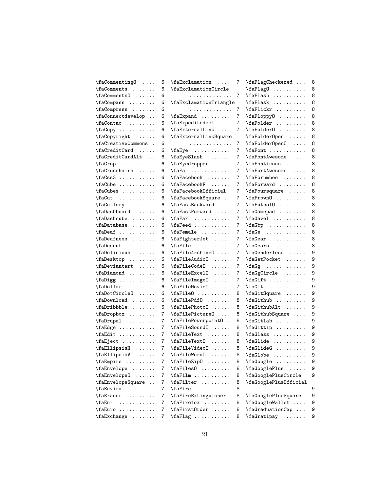| $\frac{1}{16}$                     | 6 | $\texttt{AExclamation} \dots$                                   | 7 | \faFlagCheckered                                  | 8 |
|------------------------------------|---|-----------------------------------------------------------------|---|---------------------------------------------------|---|
| \faComments                        | 6 | \faExclamationCircle                                            |   | $\frac{1}{2}$                                     | 8 |
| $\frac{1}{12}$                     | 6 | .                                                               | 7 | $\frac{1}{aF$ lash                                | 8 |
|                                    | 6 | \faExclamationTriangle                                          |   | $\frac{1}{2}$                                     | 8 |
| \faCompress                        | 6 | .                                                               | 7 | $\left\{ \text{faflickr } \ldots \ldots \right\}$ | 8 |
| \faConnectdevelop                  | 6 | $\frac{1}{16}$                                                  | 7 | \faFloppy0                                        | 8 |
| \faContao                          | 6 | \faExpeditedssl                                                 | 7 | $\left\{ \text{fafolder } \ldots \ldots \right\}$ | 8 |
| $\frac{1}{2}$                      | 6 | $\{fack}$ a $\ldots$                                            | 7 | $\left\{ \text{aFolder0} \dots \dots \right\}$    | 8 |
| $\frac{1}{2}$                      | 6 | \faExternalLinkSquare                                           |   | \faFolder0pen                                     | 8 |
| \faCreativeCommons .               | 6 | .                                                               | 7 | $\text{AFolderOpen} \dots$                        | 8 |
| \faCreditCard                      | 6 | $\{faEye \dots \dots \dots$                                     | 7 | $\left\{ \text{aFont} \dots \dots \right\}$       | 8 |
| \faCreditCardAlt                   | 6 | \faEyeSlash                                                     | 7 | \faFontAwesome                                    | 8 |
| $\frac{1}{2}$                      | 6 | $\text{Laggedropper} \ldots$                                    | 7 | \faFonticons                                      | 8 |
| \faCrosshairs                      | 6 | $\frac{1}{16}$                                                  | 7 | \faFortAwesome                                    | 8 |
| $\frac{3}{16}$                     | 6 | \faFacebook                                                     | 7 | $\{faForumbee \dots \dots$                        | 8 |
| $\frac{1}{2}$                      | 6 | $\{faFacebookF \dots$                                           | 7 | $\texttt{A} \dots \dots$                          | 8 |
| \faCubes                           | 6 | \faFacebookOfficial                                             | 7 | \faFoursquare                                     | 8 |
| $\frac{1}{2}$                      | 6 | \faFacebookSquare                                               | 7 | $\frac{1}{10}$                                    | 8 |
| \faCutlery                         | 6 | \faFastBackward                                                 | 7 | $\frac{1}{\text{aFutbol0}}$                       | 8 |
| \faDashboard                       | 6 | \faFastForward                                                  | 7 | \faGamepad                                        | 8 |
| \faDashcube                        | 6 | \faFax                                                          | 7 | $\frac{a}{b}$                                     | 8 |
| $\Lambda$ : $\Lambda$              | 6 |                                                                 | 7 | $\{f \in \mathbb{R}^n : \ldots \ldots$            | 8 |
| $\lambda$ fa $Deaf$                | 6 | $\{faFemale \dots \dots \}$                                     | 7 | $\texttt{qGee} \dots \dots \dots \dots$           | 8 |
| \faDeafness                        | 6 | \faFighterJet                                                   | 7 | $\frac{dear \dots \dots \dots}{c}$                | 8 |
| \faDedent                          | 6 | \faFile                                                         | 7 | $\forall$ faGears                                 | 8 |
| \faDelicious                       | 6 | $\texttt{afileArchive0} \dots$                                  | 7 | $\{facenderless \dots \}$                         | 9 |
| \faDesktop                         | 6 | $\left\{ \text{AId} \right\}$                                   | 7 | \faGetPocket                                      | 9 |
| \faDeviantart                      | 6 | \faFileCode0                                                    | 7 | $\text{Gg} \quad \ldots \quad \ldots$             | 9 |
| $\lambda$ : $\lambda$              | 6 | $\{faFileException$                                             | 7 | $\{fagCircle \ldots \}$                           | 9 |
|                                    | 6 | \faFileImage0                                                   | 7 | $\left\{ \text{naGift} \ldots \ldots \right\}$    | 9 |
|                                    | 6 | \faFileMovie0                                                   | 7 | $\forall$ faGit                                   | 9 |
| \faDotCircle0                      | 6 | $\left\{ \text{aFile0} \dots \right\}$                          | 8 | \faGitSquare                                      | 9 |
| \faDownload                        | 6 | \faFilePdf0                                                     | 8 | $\forall$ faGithub                                | 9 |
| \faDribbble                        | 6 | \faFilePhoto0                                                   | 8 |                                                   |   |
|                                    |   |                                                                 |   | $\left\{ \text{aGithubAlt} \dots \right\}$        | 9 |
| \faDropbox                         | 7 | $\{faFilePicture0 \ldots$                                       | 8 | \faGithubSquare<br>$\forall$ faGitlab             | 9 |
| $\texttt{aEdge} \dots \dots \dots$ | 7 | \faFilePowerpoint0 .                                            | 8 | \faGittip                                         | 9 |
|                                    | 7 | \faFileSound0                                                   | 8 |                                                   | 9 |
| \faEdit                            | 7 | $\left\{ \text{aFileText} \dots \right\}$                       | 8 | $\frac{class \dots \dots \dots}{s}$               | 9 |
| $\text{LaEject} \dots \dots$       | 7 | $\left\{ \text{aFileTextO} \dots \right\}$                      | 8 | $\{f \in \{1, 2, \ldots, \ldots, n\}$             | 9 |
| $\texttt{AELlipsisH} \dots \dots$  | 7 | $\{aFileVideo0$                                                 | 8 | $\forall$ fa $G$ lide $G$                         | 9 |
| $\texttt{AELlipsisV} \dots$        | 7 | $\text{AFileWord0}$                                             | 8 | $\forall$ fa $G$ lobe                             | 9 |
| $\forall$ fa $Empire$              | 7 | $\text{aFileZip0} \dots \dots$                                  | 8 | $\{facose}$                                       | 9 |
| \faEnvelope                        | 7 | $\frac{1}{s}$                                                   | 8 | \faGooglePlus                                     | 9 |
| $\frac{1}{2}$                      | 7 | $\text{if } \text{aff}\, \ldots \text{if } \text{def}\, \ldots$ | 8 | \faGooglePlusCircle                               | 9 |
| \faEnvelopeSquare                  | 7 | \faFilter                                                       | 8 | \faGooglePlusOfficial                             |   |
| \faEnvira                          | 7 | $\{faFire \ldots \ldots$                                        | 8 | .                                                 | 9 |
| $\{aEraser \dots \dots \}$         | 7 | \faFireExtinguisher                                             | 8 | \faGooglePlusSquare                               | 9 |
| $\left\{ \right.$                  | 7 | $\left\{ \text{faffirefox } \ldots \ldots \right\}$             | 8 | $\{fac\}{log1eWallet \ldots$                      | 9 |
| $\frac{1}{2}$                      | 7 | \faFirst0rder                                                   | 8 | \faGraduationCap                                  | 9 |
| $\{aExchange \ldots \ldots$        | 7 | $\left\{ \text{aFlag } \ldots \ldots \right\}$                  | 8 | \faGratipay                                       | 9 |
|                                    |   |                                                                 |   |                                                   |   |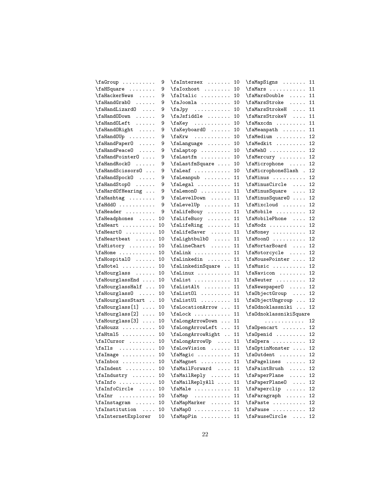| $\frac{1}{16}$                                                             | 9  | \faIntersex                                                                       | 10 | \faMapSigns  11                                                                                                                                                                                                                                                                                                                                                                                                         |    |
|----------------------------------------------------------------------------|----|-----------------------------------------------------------------------------------|----|-------------------------------------------------------------------------------------------------------------------------------------------------------------------------------------------------------------------------------------------------------------------------------------------------------------------------------------------------------------------------------------------------------------------------|----|
| \faHSquare                                                                 | 9  | \faIoxhost                                                                        | 10 | $\{\text{falms} \dots \dots \dots \quad 11\}$                                                                                                                                                                                                                                                                                                                                                                           |    |
| \faHackerNews                                                              | 9  | $\forall$ faItalic  10                                                            |    | \faMarsDouble  11                                                                                                                                                                                                                                                                                                                                                                                                       |    |
|                                                                            | 9  | $\alpha$ 10                                                                       |    | $\{\texttt{aMarsStroke} \dots \}$                                                                                                                                                                                                                                                                                                                                                                                       | 11 |
| $\lambda$ :                                                                | 9  | $\text{IdJpy}$                                                                    | 10 | $\{\texttt{falmssStrokeH} \dots\}$                                                                                                                                                                                                                                                                                                                                                                                      | 11 |
|                                                                            | 9  | \faJsfiddle  10                                                                   |    | \faMarsStrokeV                                                                                                                                                                                                                                                                                                                                                                                                          | 11 |
| \faHandOLeft                                                               | 9  | \faKey  10                                                                        |    | $\{\texttt{aMaxcdn} \dots \dots$                                                                                                                                                                                                                                                                                                                                                                                        | 11 |
| \faHandORight                                                              | 9  | \faKeyboard0  10                                                                  |    | \faMeanpath  11                                                                                                                                                                                                                                                                                                                                                                                                         |    |
| $\mathcal{U}$                                                              | 9  | $\frac{10}{10}$                                                                   |    | $\lambda$ 12                                                                                                                                                                                                                                                                                                                                                                                                            |    |
| \faHandPaper0                                                              | 9  | \faLanguage  10                                                                   |    | \faMedkit  12                                                                                                                                                                                                                                                                                                                                                                                                           |    |
|                                                                            | 9  | $\lambda$ is the set of $\lambda$ is the set of $\lambda$ is the set of $\lambda$ |    | $\Lambda$ 12                                                                                                                                                                                                                                                                                                                                                                                                            |    |
| \faHandPointer0                                                            | 9  |                                                                                   |    | \faMercury  12                                                                                                                                                                                                                                                                                                                                                                                                          |    |
| \faHandRock0                                                               | 9  | \faLastfmSquare  10                                                               |    | $\lambda$ :                                                                                                                                                                                                                                                                                                                                                                                                             | 12 |
| \faHandScissors0                                                           | 9  | $\theta$ 10                                                                       |    | \faMicrophoneSlash.                                                                                                                                                                                                                                                                                                                                                                                                     | 12 |
| \faHandSpock0                                                              | 9  | \faLeanpub  11                                                                    |    | $\{\texttt{f} \texttt{a} \texttt{m} \texttt{a} \texttt{a} \texttt{a} \texttt{a} \texttt{a} \texttt{a} \texttt{a} \texttt{a} \texttt{a} \texttt{a} \texttt{a} \texttt{a} \texttt{a} \texttt{a} \texttt{a} \texttt{a} \texttt{a} \texttt{a} \texttt{a} \texttt{a} \texttt{a} \texttt{a} \texttt{a} \texttt{a} \texttt{a} \texttt{a} \texttt{a} \texttt{a} \texttt{a} \texttt{a} \texttt{a} \texttt{a} \texttt{a} \texttt$ | 12 |
| \faHandStop0                                                               | 9  |                                                                                   |    | \faMinusCircle  12                                                                                                                                                                                                                                                                                                                                                                                                      |    |
| \faHardOfHearing                                                           | 9  | $\lambda$ 11                                                                      |    | $\{\text{f}$ aMinusSquare                                                                                                                                                                                                                                                                                                                                                                                               | 12 |
| $\mathcal{A}$                                                              | 9  | \faLevelDown  11                                                                  |    | \faMinusSquare0                                                                                                                                                                                                                                                                                                                                                                                                         | 12 |
| \faHdd0                                                                    | 9  | \faLevelUp  11                                                                    |    | $\forall$ faMixcloud                                                                                                                                                                                                                                                                                                                                                                                                    | 12 |
|                                                                            | 9  | \faLifeBouy  11                                                                   |    | $\Lambda$ 12                                                                                                                                                                                                                                                                                                                                                                                                            |    |
| \faHeadphones                                                              | 10 | \faLifeBuoy  11                                                                   |    | \faMobilePhone  12                                                                                                                                                                                                                                                                                                                                                                                                      |    |
| $\mathcal{A}$                                                              | 10 | $\left\{ \text{falling } \ldots \ldots \right. 11 \right\}$                       |    | $\{\text{aModx} \dots \dots \dots \ 12\}$                                                                                                                                                                                                                                                                                                                                                                               |    |
|                                                                            | 10 | \faLifeSaver  11                                                                  |    | \faMoney  12                                                                                                                                                                                                                                                                                                                                                                                                            |    |
| $\theta$ . $\ldots$                                                        | 10 | $\delta$ 11                                                                       |    | $\{\text{faMoon0} \dots \dots \dots \ 12\}$                                                                                                                                                                                                                                                                                                                                                                             |    |
| $\left\{$                                                                  | 10 | \faLineChart  11                                                                  |    | \faMortarBoard  12                                                                                                                                                                                                                                                                                                                                                                                                      |    |
| $\mathcal{L}$ allome $\ldots \ldots$                                       | 10 | \faLink  11                                                                       |    |                                                                                                                                                                                                                                                                                                                                                                                                                         | 12 |
|                                                                            | 10 |                                                                                   |    | \faMousePointer  12                                                                                                                                                                                                                                                                                                                                                                                                     |    |
|                                                                            | 10 | \faLinkedinSquare  11                                                             |    | $\{\texttt{faMusic} \dots \dots \dots \ 12\}$                                                                                                                                                                                                                                                                                                                                                                           |    |
|                                                                            | 10 | $\tau \dots \dots 11$                                                             |    | \faNavicon  12                                                                                                                                                                                                                                                                                                                                                                                                          |    |
| \faHourglassEnd                                                            | 10 | \faList  11                                                                       |    | \faNeuter  12                                                                                                                                                                                                                                                                                                                                                                                                           |    |
| \faHourglassHalf                                                           | 10 | $\mathcal{I}$ 11                                                                  |    | \faNewspaper0  12                                                                                                                                                                                                                                                                                                                                                                                                       |    |
| \faHourglass0                                                              | 10 | \faList01  11                                                                     |    | \fa0bjectGroup  12                                                                                                                                                                                                                                                                                                                                                                                                      |    |
| \faHourglassStart                                                          | 10 |                                                                                   |    | \fa0bjectUngroup  12                                                                                                                                                                                                                                                                                                                                                                                                    |    |
| $\left\{ \Delta B = \begin{bmatrix} 1 & 1 \\ 1 & 1 \end{bmatrix} \right\}$ | 10 | \faLocationArrow  11                                                              |    | $\alpha$ klassniki                                                                                                                                                                                                                                                                                                                                                                                                      | 12 |
| $\delta$                                                                   | 10 | $\frac{1}{1}$                                                                     |    | \fa0dnoklassnikiSquare                                                                                                                                                                                                                                                                                                                                                                                                  |    |
| $\left\{ \alpha \right\}$                                                  | 10 | \faLongArrowDown  11                                                              |    | .                                                                                                                                                                                                                                                                                                                                                                                                                       | 12 |
| \faHouzz                                                                   | 10 | \faLongArrowLeft  11                                                              |    | $\alpha$ Pencart  12                                                                                                                                                                                                                                                                                                                                                                                                    |    |
| $\mathcal{F}$ aHtml $5 \ldots \ldots$                                      | 10 | \faLongArrowRight  11                                                             |    | \fa0penid  12                                                                                                                                                                                                                                                                                                                                                                                                           |    |
| $\left\{\texttt{r} \right\}$                                               | 10 | \faLongArrowUp  11                                                                |    | \fa0pera  12                                                                                                                                                                                                                                                                                                                                                                                                            |    |
| $\mathcal{I}$ alls                                                         | 10 | \faLowVision  11                                                                  |    | \fa0ptinMonster  12                                                                                                                                                                                                                                                                                                                                                                                                     |    |
| $\lambda$ : $\lambda$                                                      | 10 | \faMagic  11                                                                      |    | \fa0utdent  12                                                                                                                                                                                                                                                                                                                                                                                                          |    |
| $\lambda$ : $\lambda$                                                      | 10 | \faMagnet                                                                         | 11 | \faPagelines                                                                                                                                                                                                                                                                                                                                                                                                            | 12 |
|                                                                            | 10 | \faMailForward                                                                    | 11 | \faPaintBrush                                                                                                                                                                                                                                                                                                                                                                                                           | 12 |
| $\lambda$ : $\lambda$                                                      | 10 | \faMailReply                                                                      | 11 | \faPaperPlane                                                                                                                                                                                                                                                                                                                                                                                                           | 12 |
| $\lambda$ ia Info $\ldots$                                                 | 10 | \faMailReplyAll                                                                   | 11 | \faPaperPlane0                                                                                                                                                                                                                                                                                                                                                                                                          | 12 |
| $\Lambda$                                                                  | 10 | \faMale                                                                           | 11 | \faPaperclip                                                                                                                                                                                                                                                                                                                                                                                                            | 12 |
| \faInr<br>.                                                                | 10 | \faMap                                                                            | 11 | \faParagraph                                                                                                                                                                                                                                                                                                                                                                                                            | 12 |
| $\Lambda \dots$ .                                                          | 10 | \faMapMarker                                                                      | 11 | \faPaste                                                                                                                                                                                                                                                                                                                                                                                                                | 12 |
| \faInstitution                                                             | 10 | $\{\texttt{aMap0} \dots \dots \dots$                                              | 11 | \faPause                                                                                                                                                                                                                                                                                                                                                                                                                | 12 |
| \faInternetExplorer                                                        | 10 | $\{\texttt{faMapPin} \dots \dots \quad 11\}$                                      |    | $\{faPauseCircle \dots$                                                                                                                                                                                                                                                                                                                                                                                                 | 12 |
|                                                                            |    |                                                                                   |    |                                                                                                                                                                                                                                                                                                                                                                                                                         |    |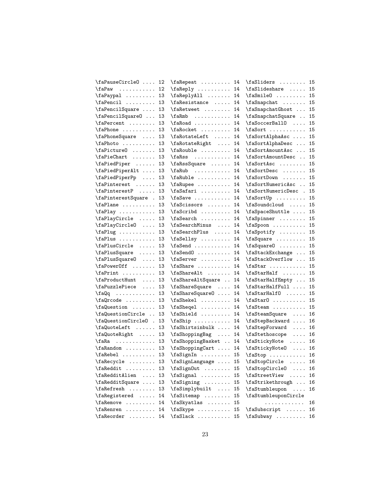| \faPauseCircle0                                 | 12 | \faRepeat  14                                |    | \faSliders  15                            |    |
|-------------------------------------------------|----|----------------------------------------------|----|-------------------------------------------|----|
| \faPaw                                          | 12 | $\{\text{r}_1, \ldots, \text{r}_1\}$         |    | $\frac{1}{6}$                             | 15 |
| $\frac{1}{2}$                                   | 13 | \faReplyAll  14                              |    | $\frac{1}{e}$                             | 15 |
| $\{\texttt{faPencil} \dots \dots$               | 13 | $\{\texttt{faResistance} \dots \ 14\}$       |    | $\{\text{faSnapchat} \dots \dots$         | 15 |
| \faPencilSquare                                 | 13 | \faRetweet  14                               |    | \faSnapchatGhost                          | 15 |
| \faPencilSquare0                                | 13 | $\{\texttt{aRmb} \dots \dots \dots \ 14\}$   |    | \faSnapchatSquare                         | 15 |
| $\{aPercent$                                    | 13 | $\frac{14}{14}$                              |    | $\frac{\frac{1}{10}}{\frac{1}{10}}$       | 15 |
| $\{faPhone \dots \dots$                         | 13 | \faRocket  14                                |    | $\frac{\text{2}}{\text{2}}$               | 15 |
| \faPhoneSquare  13                              |    | \faRotateLeft  14                            |    | $\frac{\delta}{\delta}$                   | 15 |
|                                                 |    | \faRotateRight  14                           |    | \faSortAlphaDesc                          | 15 |
| $\frac{1}{3}$                                   |    | \faRouble  14                                |    | \faSortAmountAsc                          | 15 |
| \faPieChart  13                                 |    | $\{\text{raks} \dots \text{r14}\}$           |    | \faSortAmountDesc                         | 15 |
| \faPiedPiper  13                                |    | \faRssSquare  14                             |    | \faSortAsc                                | 15 |
| \faPiedPiperAlt                                 | 13 | \faRub  14                                   |    | \faSortDesc                               | 15 |
| \faPiedPiperPp                                  | 13 | $\{\text{rankule} \dots \dots \quad 14\}$    |    | \faSortDown                               | 15 |
| \faPinterest                                    | 13 | \faRupee  14                                 |    | \faSortNumericAsc                         | 15 |
| $\{\text{faPinterestP } \dots \}$               | 13 | $\frac{1}{4}$                                |    | $\frac{1}{2}$                             | 15 |
| \faPinterestSquare .                            | 13 | $\{\text{faSave}\dots \dots \dots \ 14\}$    |    | $\text{asortUp} \dots \dots$              | 15 |
| \faPlane                                        | 13 | \faScissors  14                              |    | $\frac{\square}{\square}$                 | 15 |
| $\frac{13}{13}$                                 |    | $\frac{14}{14}$                              |    | $\{\text{r} \cdot \ldots\}$               | 15 |
| \faPlayCircle  13                               |    | \faSearch  14                                |    | $\texttt{aspinner} \dots \dots$           | 15 |
| \faPlayCircleO  13                              |    | \faSearchMinus  14                           |    | $\frac{15}{15}$                           |    |
| $\frac{13}{13}$                                 |    | $\frac{1}{4}$                                |    | $\forall$ faSpotify  15                   |    |
| $\frac{13}{13}$                                 |    | \faSellsy  14                                |    | $\{\text{asquare} \dots \dots \quad 15\}$ |    |
| \faPlusCircle  13                               |    | $\{\text{fasend } \ldots \ldots \quad 14$    |    | $\tag{1.1}$                               | 15 |
| $\frac{1}{2}$                                   | 13 | $\frac{14}{4}$                               |    | \faStackExchange                          | 15 |
| \faPlusSquare0                                  | 13 | $\{\text{raserver} \dots \dots \ 14\}$       |    | \faStackOverflow                          | 15 |
| \faPower0ff  13                                 |    | $\{\text{faShare } \dots \dots \dots \ 14\}$ |    | $\text{Kast} \dots \dots \dots$           | 15 |
| $\frac{13}{13}$                                 |    | \faShareAlt  14                              |    | \faStarHalf                               | 15 |
| \faProductHunt  13                              |    | \faShareAltSquare  14                        |    | \faStarHalfEmpty                          | 15 |
| \faPuzzlePiece                                  | 13 | \faShareSquare  14                           |    | \faStarHalfFull                           | 15 |
| \faQq  13                                       |    | \faShareSquare0  14                          |    | $\frac{1}{16}$                            | 15 |
| $\frac{q}{\text{alpcode} \dots \dots \dots 13}$ |    | \faShekel  14                                |    | $\frac{15}{15}$                           |    |
| \faQuestion  13                                 |    | $\frac{el}{14}$                              |    | $\frac{15}{15}$                           |    |
| \faQuestionCircle                               | 13 | \faShield  14                                |    | \faSteamSquare                            | 16 |
| \faQuestionCircleO .                            | 13 | $\frac{h}{14}$                               |    | \faStepBackward                           | 16 |
| \faQuoteLeft                                    | 13 | \faShirtsinbulk  14                          |    | \faStepForward                            | 16 |
| \faQuoteRight                                   | 13 |                                              | 14 | \faStethoscope                            | 16 |
| $\frac{1}{3}$                                   |    | \faShoppingBasket  14                        |    | \faStickyNote                             | 16 |
| $\frac{13}{13}$                                 |    | \faShoppingCart  14                          |    | \faStickyNote0                            | 16 |
| $\{faRebel$                                     | 13 | $\frac{15}{15}$                              |    | $\frac{16}{16}$                           |    |
| $\{\text{rakecycle}\dots\ldots\}$               | 13 | \faSignLanguage                              | 15 | \faStopCircle                             | 16 |
| \faReddit                                       | 13 | $\frac{1}{2}$                                | 15 | \faStopCircle0                            | 16 |
| $\lambda$ :                                     | 13 | \faSignal                                    | 15 | \faStreetView                             | 16 |
| \faRedditSquare                                 | 13 | $\frac{1}{16}$                               | 15 | \faStrikethrough                          | 16 |
| \faRefresh                                      | 13 | \faSimplybuilt                               | 15 | \faStumbleupon                            | 16 |
| \faRegistered                                   | 14 | \faSitemap                                   | 15 | \faStumbleuponCircle                      |    |
| $\{\texttt{faRemove}\dots\ldots\}$              | 14 | \faSkyatlas                                  | 15 | .                                         | 16 |
| \faRenren                                       | 14 | $\{\text{skype} \dots \dots \}$              | 15 | \faSubscript                              | 16 |
| \faReorder  14                                  |    | $\frac{15}{15}$                              |    | $\frac{1}{2}$                             | 16 |
|                                                 |    |                                              |    |                                           |    |